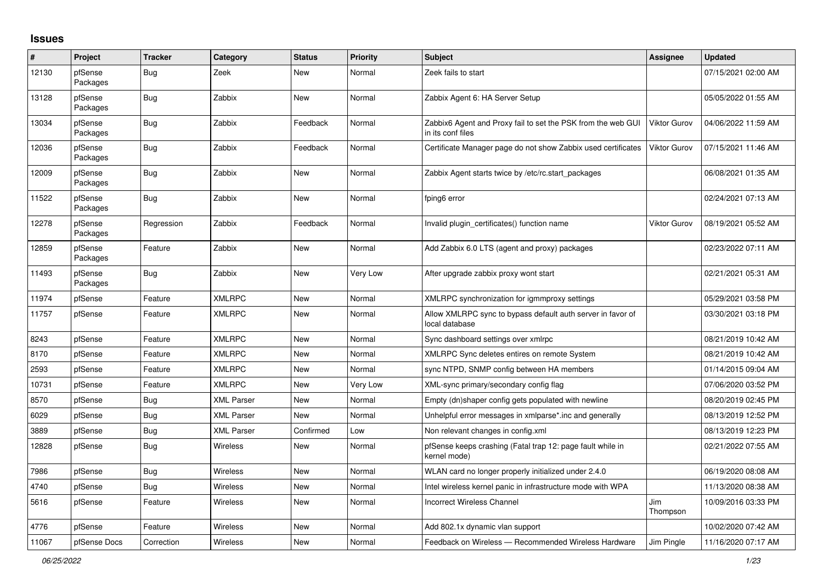## **Issues**

| #     | Project             | <b>Tracker</b> | Category          | <b>Status</b> | <b>Priority</b> | <b>Subject</b>                                                                    | Assignee            | <b>Updated</b>      |
|-------|---------------------|----------------|-------------------|---------------|-----------------|-----------------------------------------------------------------------------------|---------------------|---------------------|
| 12130 | pfSense<br>Packages | Bug            | Zeek              | New           | Normal          | Zeek fails to start                                                               |                     | 07/15/2021 02:00 AM |
| 13128 | pfSense<br>Packages | Bug            | Zabbix            | <b>New</b>    | Normal          | Zabbix Agent 6: HA Server Setup                                                   |                     | 05/05/2022 01:55 AM |
| 13034 | pfSense<br>Packages | Bug            | Zabbix            | Feedback      | Normal          | Zabbix6 Agent and Proxy fail to set the PSK from the web GUI<br>in its conf files | <b>Viktor Gurov</b> | 04/06/2022 11:59 AM |
| 12036 | pfSense<br>Packages | Bug            | Zabbix            | Feedback      | Normal          | Certificate Manager page do not show Zabbix used certificates                     | Viktor Gurov        | 07/15/2021 11:46 AM |
| 12009 | pfSense<br>Packages | Bug            | Zabbix            | <b>New</b>    | Normal          | Zabbix Agent starts twice by /etc/rc.start packages                               |                     | 06/08/2021 01:35 AM |
| 11522 | pfSense<br>Packages | Bug            | Zabbix            | <b>New</b>    | Normal          | fping6 error                                                                      |                     | 02/24/2021 07:13 AM |
| 12278 | pfSense<br>Packages | Regression     | Zabbix            | Feedback      | Normal          | Invalid plugin certificates() function name                                       | <b>Viktor Gurov</b> | 08/19/2021 05:52 AM |
| 12859 | pfSense<br>Packages | Feature        | Zabbix            | <b>New</b>    | Normal          | Add Zabbix 6.0 LTS (agent and proxy) packages                                     |                     | 02/23/2022 07:11 AM |
| 11493 | pfSense<br>Packages | Bug            | Zabbix            | <b>New</b>    | Very Low        | After upgrade zabbix proxy wont start                                             |                     | 02/21/2021 05:31 AM |
| 11974 | pfSense             | Feature        | <b>XMLRPC</b>     | <b>New</b>    | Normal          | XMLRPC synchronization for igmmproxy settings                                     |                     | 05/29/2021 03:58 PM |
| 11757 | pfSense             | Feature        | <b>XMLRPC</b>     | <b>New</b>    | Normal          | Allow XMLRPC sync to bypass default auth server in favor of<br>local database     |                     | 03/30/2021 03:18 PM |
| 8243  | pfSense             | Feature        | <b>XMLRPC</b>     | <b>New</b>    | Normal          | Sync dashboard settings over xmlrpc                                               |                     | 08/21/2019 10:42 AM |
| 8170  | pfSense             | Feature        | <b>XMLRPC</b>     | <b>New</b>    | Normal          | XMLRPC Sync deletes entires on remote System                                      |                     | 08/21/2019 10:42 AM |
| 2593  | pfSense             | Feature        | <b>XMLRPC</b>     | <b>New</b>    | Normal          | sync NTPD, SNMP config between HA members                                         |                     | 01/14/2015 09:04 AM |
| 10731 | pfSense             | Feature        | <b>XMLRPC</b>     | New           | Very Low        | XML-sync primary/secondary config flag                                            |                     | 07/06/2020 03:52 PM |
| 8570  | pfSense             | Bug            | <b>XML Parser</b> | New           | Normal          | Empty (dn)shaper config gets populated with newline                               |                     | 08/20/2019 02:45 PM |
| 6029  | pfSense             | Bug            | <b>XML Parser</b> | <b>New</b>    | Normal          | Unhelpful error messages in xmlparse*.inc and generally                           |                     | 08/13/2019 12:52 PM |
| 3889  | pfSense             | <b>Bug</b>     | <b>XML Parser</b> | Confirmed     | Low             | Non relevant changes in config.xml                                                |                     | 08/13/2019 12:23 PM |
| 12828 | pfSense             | Bug            | <b>Wireless</b>   | New           | Normal          | pfSense keeps crashing (Fatal trap 12: page fault while in<br>kernel mode)        |                     | 02/21/2022 07:55 AM |
| 7986  | pfSense             | Bug            | Wireless          | New           | Normal          | WLAN card no longer properly initialized under 2.4.0                              |                     | 06/19/2020 08:08 AM |
| 4740  | pfSense             | Bug            | Wireless          | New           | Normal          | Intel wireless kernel panic in infrastructure mode with WPA                       |                     | 11/13/2020 08:38 AM |
| 5616  | pfSense             | Feature        | <b>Wireless</b>   | New           | Normal          | <b>Incorrect Wireless Channel</b>                                                 | Jim<br>Thompson     | 10/09/2016 03:33 PM |
| 4776  | pfSense             | Feature        | Wireless          | New           | Normal          | Add 802.1x dynamic vlan support                                                   |                     | 10/02/2020 07:42 AM |
| 11067 | pfSense Docs        | Correction     | Wireless          | New           | Normal          | Feedback on Wireless - Recommended Wireless Hardware                              | Jim Pingle          | 11/16/2020 07:17 AM |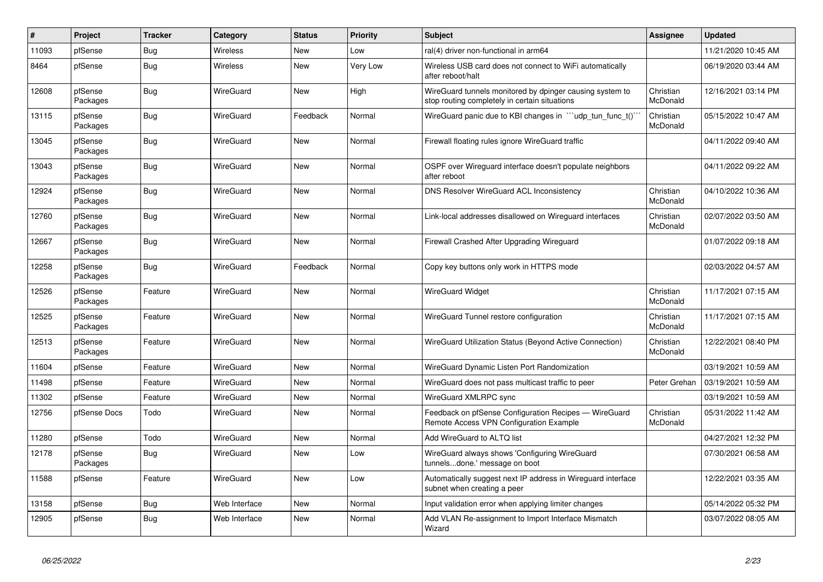| #     | Project             | <b>Tracker</b> | Category         | <b>Status</b> | <b>Priority</b> | <b>Subject</b>                                                                                            | <b>Assignee</b>       | <b>Updated</b>      |
|-------|---------------------|----------------|------------------|---------------|-----------------|-----------------------------------------------------------------------------------------------------------|-----------------------|---------------------|
| 11093 | pfSense             | <b>Bug</b>     | Wireless         | <b>New</b>    | Low             | ral(4) driver non-functional in arm64                                                                     |                       | 11/21/2020 10:45 AM |
| 8464  | pfSense             | Bug            | Wireless         | <b>New</b>    | Very Low        | Wireless USB card does not connect to WiFi automatically<br>after reboot/halt                             |                       | 06/19/2020 03:44 AM |
| 12608 | pfSense<br>Packages | <b>Bug</b>     | <b>WireGuard</b> | <b>New</b>    | High            | WireGuard tunnels monitored by dpinger causing system to<br>stop routing completely in certain situations | Christian<br>McDonald | 12/16/2021 03:14 PM |
| 13115 | pfSense<br>Packages | <b>Bug</b>     | <b>WireGuard</b> | Feedback      | Normal          | WireGuard panic due to KBI changes in ""udp_tun_func_t()"                                                 | Christian<br>McDonald | 05/15/2022 10:47 AM |
| 13045 | pfSense<br>Packages | Bug            | WireGuard        | <b>New</b>    | Normal          | Firewall floating rules ignore WireGuard traffic                                                          |                       | 04/11/2022 09:40 AM |
| 13043 | pfSense<br>Packages | <b>Bug</b>     | <b>WireGuard</b> | <b>New</b>    | Normal          | OSPF over Wirequard interface doesn't populate neighbors<br>after reboot                                  |                       | 04/11/2022 09:22 AM |
| 12924 | pfSense<br>Packages | Bug            | <b>WireGuard</b> | <b>New</b>    | Normal          | DNS Resolver WireGuard ACL Inconsistency                                                                  | Christian<br>McDonald | 04/10/2022 10:36 AM |
| 12760 | pfSense<br>Packages | Bug            | <b>WireGuard</b> | <b>New</b>    | Normal          | Link-local addresses disallowed on Wireguard interfaces                                                   | Christian<br>McDonald | 02/07/2022 03:50 AM |
| 12667 | pfSense<br>Packages | Bug            | <b>WireGuard</b> | <b>New</b>    | Normal          | Firewall Crashed After Upgrading Wireguard                                                                |                       | 01/07/2022 09:18 AM |
| 12258 | pfSense<br>Packages | Bug            | WireGuard        | Feedback      | Normal          | Copy key buttons only work in HTTPS mode                                                                  |                       | 02/03/2022 04:57 AM |
| 12526 | pfSense<br>Packages | Feature        | <b>WireGuard</b> | <b>New</b>    | Normal          | <b>WireGuard Widget</b>                                                                                   | Christian<br>McDonald | 11/17/2021 07:15 AM |
| 12525 | pfSense<br>Packages | Feature        | <b>WireGuard</b> | <b>New</b>    | Normal          | WireGuard Tunnel restore configuration                                                                    | Christian<br>McDonald | 11/17/2021 07:15 AM |
| 12513 | pfSense<br>Packages | Feature        | <b>WireGuard</b> | <b>New</b>    | Normal          | WireGuard Utilization Status (Beyond Active Connection)                                                   | Christian<br>McDonald | 12/22/2021 08:40 PM |
| 11604 | pfSense             | Feature        | <b>WireGuard</b> | <b>New</b>    | Normal          | WireGuard Dynamic Listen Port Randomization                                                               |                       | 03/19/2021 10:59 AM |
| 11498 | pfSense             | Feature        | <b>WireGuard</b> | <b>New</b>    | Normal          | WireGuard does not pass multicast traffic to peer                                                         | Peter Grehan          | 03/19/2021 10:59 AM |
| 11302 | pfSense             | Feature        | WireGuard        | <b>New</b>    | Normal          | WireGuard XMLRPC sync                                                                                     |                       | 03/19/2021 10:59 AM |
| 12756 | pfSense Docs        | Todo           | WireGuard        | <b>New</b>    | Normal          | Feedback on pfSense Configuration Recipes - WireGuard<br>Remote Access VPN Configuration Example          | Christian<br>McDonald | 05/31/2022 11:42 AM |
| 11280 | pfSense             | Todo           | <b>WireGuard</b> | <b>New</b>    | Normal          | Add WireGuard to ALTQ list                                                                                |                       | 04/27/2021 12:32 PM |
| 12178 | pfSense<br>Packages | Bug            | WireGuard        | New           | Low             | WireGuard always shows 'Configuring WireGuard<br>tunnelsdone.' message on boot                            |                       | 07/30/2021 06:58 AM |
| 11588 | pfSense             | Feature        | <b>WireGuard</b> | <b>New</b>    | Low             | Automatically suggest next IP address in Wireguard interface<br>subnet when creating a peer               |                       | 12/22/2021 03:35 AM |
| 13158 | pfSense             | Bug            | Web Interface    | <b>New</b>    | Normal          | Input validation error when applying limiter changes                                                      |                       | 05/14/2022 05:32 PM |
| 12905 | pfSense             | Bug            | Web Interface    | <b>New</b>    | Normal          | Add VLAN Re-assignment to Import Interface Mismatch<br>Wizard                                             |                       | 03/07/2022 08:05 AM |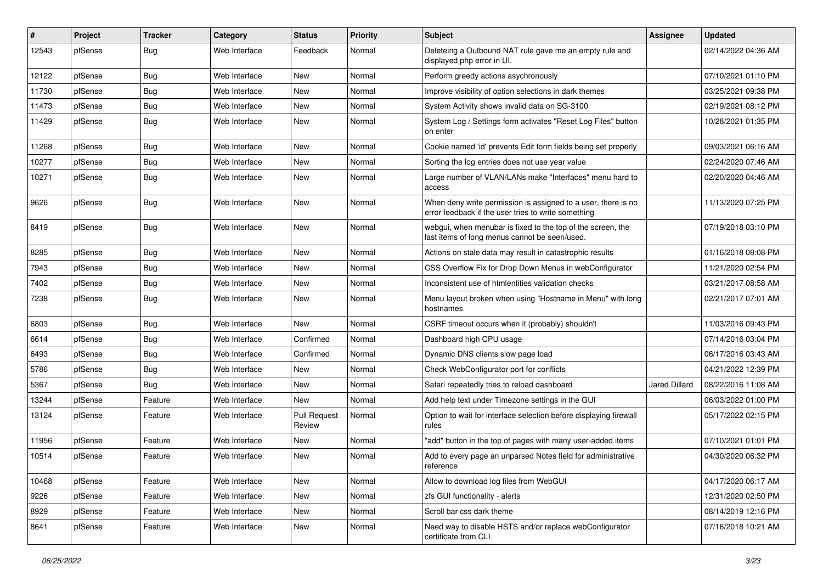| ∦     | Project | <b>Tracker</b> | Category      | <b>Status</b>                 | <b>Priority</b> | <b>Subject</b>                                                                                                       | <b>Assignee</b> | Updated             |
|-------|---------|----------------|---------------|-------------------------------|-----------------|----------------------------------------------------------------------------------------------------------------------|-----------------|---------------------|
| 12543 | pfSense | <b>Bug</b>     | Web Interface | Feedback                      | Normal          | Deleteing a Outbound NAT rule gave me an empty rule and<br>displayed php error in UI.                                |                 | 02/14/2022 04:36 AM |
| 12122 | pfSense | Bug            | Web Interface | <b>New</b>                    | Normal          | Perform greedy actions asychronously                                                                                 |                 | 07/10/2021 01:10 PM |
| 11730 | pfSense | <b>Bug</b>     | Web Interface | <b>New</b>                    | Normal          | Improve visibility of option selections in dark themes                                                               |                 | 03/25/2021 09:38 PM |
| 11473 | pfSense | Bug            | Web Interface | <b>New</b>                    | Normal          | System Activity shows invalid data on SG-3100                                                                        |                 | 02/19/2021 08:12 PM |
| 11429 | pfSense | Bug            | Web Interface | <b>New</b>                    | Normal          | System Log / Settings form activates "Reset Log Files" button<br>on enter                                            |                 | 10/28/2021 01:35 PM |
| 11268 | pfSense | Bug            | Web Interface | <b>New</b>                    | Normal          | Cookie named 'id' prevents Edit form fields being set properly                                                       |                 | 09/03/2021 06:16 AM |
| 10277 | pfSense | Bug            | Web Interface | <b>New</b>                    | Normal          | Sorting the log entries does not use year value                                                                      |                 | 02/24/2020 07:46 AM |
| 10271 | pfSense | Bug            | Web Interface | <b>New</b>                    | Normal          | Large number of VLAN/LANs make "Interfaces" menu hard to<br>access                                                   |                 | 02/20/2020 04:46 AM |
| 9626  | pfSense | Bug            | Web Interface | <b>New</b>                    | Normal          | When deny write permission is assigned to a user, there is no<br>error feedback if the user tries to write something |                 | 11/13/2020 07:25 PM |
| 8419  | pfSense | Bug            | Web Interface | <b>New</b>                    | Normal          | webgui, when menubar is fixed to the top of the screen, the<br>last items of long menus cannot be seen/used.         |                 | 07/19/2018 03:10 PM |
| 8285  | pfSense | Bug            | Web Interface | <b>New</b>                    | Normal          | Actions on stale data may result in catastrophic results                                                             |                 | 01/16/2018 08:08 PM |
| 7943  | pfSense | Bug            | Web Interface | <b>New</b>                    | Normal          | CSS Overflow Fix for Drop Down Menus in webConfigurator                                                              |                 | 11/21/2020 02:54 PM |
| 7402  | pfSense | <b>Bug</b>     | Web Interface | <b>New</b>                    | Normal          | Inconsistent use of htmlentities validation checks                                                                   |                 | 03/21/2017 08:58 AM |
| 7238  | pfSense | <b>Bug</b>     | Web Interface | <b>New</b>                    | Normal          | Menu layout broken when using "Hostname in Menu" with long<br>hostnames                                              |                 | 02/21/2017 07:01 AM |
| 6803  | pfSense | Bug            | Web Interface | <b>New</b>                    | Normal          | CSRF timeout occurs when it (probably) shouldn't                                                                     |                 | 11/03/2016 09:43 PM |
| 6614  | pfSense | <b>Bug</b>     | Web Interface | Confirmed                     | Normal          | Dashboard high CPU usage                                                                                             |                 | 07/14/2016 03:04 PM |
| 6493  | pfSense | <b>Bug</b>     | Web Interface | Confirmed                     | Normal          | Dynamic DNS clients slow page load                                                                                   |                 | 06/17/2016 03:43 AM |
| 5786  | pfSense | Bug            | Web Interface | <b>New</b>                    | Normal          | Check WebConfigurator port for conflicts                                                                             |                 | 04/21/2022 12:39 PM |
| 5367  | pfSense | Bug            | Web Interface | <b>New</b>                    | Normal          | Safari repeatedly tries to reload dashboard                                                                          | Jared Dillard   | 08/22/2016 11:08 AM |
| 13244 | pfSense | Feature        | Web Interface | <b>New</b>                    | Normal          | Add help text under Timezone settings in the GUI                                                                     |                 | 06/03/2022 01:00 PM |
| 13124 | pfSense | Feature        | Web Interface | <b>Pull Request</b><br>Review | Normal          | Option to wait for interface selection before displaying firewall<br>rules                                           |                 | 05/17/2022 02:15 PM |
| 11956 | pfSense | Feature        | Web Interface | <b>New</b>                    | Normal          | "add" button in the top of pages with many user-added items                                                          |                 | 07/10/2021 01:01 PM |
| 10514 | pfSense | Feature        | Web Interface | <b>New</b>                    | Normal          | Add to every page an unparsed Notes field for administrative<br>reference                                            |                 | 04/30/2020 06:32 PM |
| 10468 | pfSense | Feature        | Web Interface | <b>New</b>                    | Normal          | Allow to download log files from WebGUI                                                                              |                 | 04/17/2020 06:17 AM |
| 9226  | pfSense | Feature        | Web Interface | New                           | Normal          | zfs GUI functionality - alerts                                                                                       |                 | 12/31/2020 02:50 PM |
| 8929  | pfSense | Feature        | Web Interface | <b>New</b>                    | Normal          | Scroll bar css dark theme                                                                                            |                 | 08/14/2019 12:16 PM |
| 8641  | pfSense | Feature        | Web Interface | New                           | Normal          | Need way to disable HSTS and/or replace webConfigurator<br>certificate from CLI                                      |                 | 07/16/2018 10:21 AM |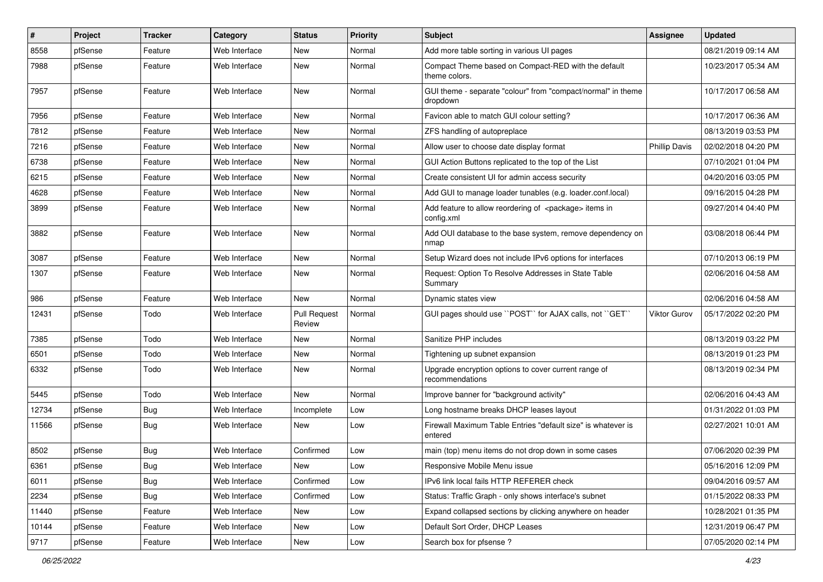| $\pmb{\#}$ | Project | <b>Tracker</b> | Category      | <b>Status</b>                 | <b>Priority</b> | <b>Subject</b>                                                                 | <b>Assignee</b>      | <b>Updated</b>      |
|------------|---------|----------------|---------------|-------------------------------|-----------------|--------------------------------------------------------------------------------|----------------------|---------------------|
| 8558       | pfSense | Feature        | Web Interface | New                           | Normal          | Add more table sorting in various UI pages                                     |                      | 08/21/2019 09:14 AM |
| 7988       | pfSense | Feature        | Web Interface | New                           | Normal          | Compact Theme based on Compact-RED with the default<br>theme colors.           |                      | 10/23/2017 05:34 AM |
| 7957       | pfSense | Feature        | Web Interface | New                           | Normal          | GUI theme - separate "colour" from "compact/normal" in theme<br>dropdown       |                      | 10/17/2017 06:58 AM |
| 7956       | pfSense | Feature        | Web Interface | New                           | Normal          | Favicon able to match GUI colour setting?                                      |                      | 10/17/2017 06:36 AM |
| 7812       | pfSense | Feature        | Web Interface | New                           | Normal          | ZFS handling of autopreplace                                                   |                      | 08/13/2019 03:53 PM |
| 7216       | pfSense | Feature        | Web Interface | New                           | Normal          | Allow user to choose date display format                                       | <b>Phillip Davis</b> | 02/02/2018 04:20 PM |
| 6738       | pfSense | Feature        | Web Interface | New                           | Normal          | GUI Action Buttons replicated to the top of the List                           |                      | 07/10/2021 01:04 PM |
| 6215       | pfSense | Feature        | Web Interface | New                           | Normal          | Create consistent UI for admin access security                                 |                      | 04/20/2016 03:05 PM |
| 4628       | pfSense | Feature        | Web Interface | New                           | Normal          | Add GUI to manage loader tunables (e.g. loader.conf.local)                     |                      | 09/16/2015 04:28 PM |
| 3899       | pfSense | Feature        | Web Interface | New                           | Normal          | Add feature to allow reordering of <package> items in<br/>config.xml</package> |                      | 09/27/2014 04:40 PM |
| 3882       | pfSense | Feature        | Web Interface | New                           | Normal          | Add OUI database to the base system, remove dependency on<br>nmap              |                      | 03/08/2018 06:44 PM |
| 3087       | pfSense | Feature        | Web Interface | New                           | Normal          | Setup Wizard does not include IPv6 options for interfaces                      |                      | 07/10/2013 06:19 PM |
| 1307       | pfSense | Feature        | Web Interface | New                           | Normal          | Request: Option To Resolve Addresses in State Table<br>Summary                 |                      | 02/06/2016 04:58 AM |
| 986        | pfSense | Feature        | Web Interface | New                           | Normal          | Dynamic states view                                                            |                      | 02/06/2016 04:58 AM |
| 12431      | pfSense | Todo           | Web Interface | <b>Pull Request</b><br>Review | Normal          | GUI pages should use "POST" for AJAX calls, not "GET"                          | <b>Viktor Gurov</b>  | 05/17/2022 02:20 PM |
| 7385       | pfSense | Todo           | Web Interface | New                           | Normal          | Sanitize PHP includes                                                          |                      | 08/13/2019 03:22 PM |
| 6501       | pfSense | Todo           | Web Interface | New                           | Normal          | Tightening up subnet expansion                                                 |                      | 08/13/2019 01:23 PM |
| 6332       | pfSense | Todo           | Web Interface | New                           | Normal          | Upgrade encryption options to cover current range of<br>recommendations        |                      | 08/13/2019 02:34 PM |
| 5445       | pfSense | Todo           | Web Interface | <b>New</b>                    | Normal          | Improve banner for "background activity"                                       |                      | 02/06/2016 04:43 AM |
| 12734      | pfSense | Bug            | Web Interface | Incomplete                    | Low             | Long hostname breaks DHCP leases layout                                        |                      | 01/31/2022 01:03 PM |
| 11566      | pfSense | <b>Bug</b>     | Web Interface | New                           | Low             | Firewall Maximum Table Entries "default size" is whatever is<br>entered        |                      | 02/27/2021 10:01 AM |
| 8502       | pfSense | <b>Bug</b>     | Web Interface | Confirmed                     | Low             | main (top) menu items do not drop down in some cases                           |                      | 07/06/2020 02:39 PM |
| 6361       | pfSense | <b>Bug</b>     | Web Interface | New                           | LOW             | Responsive Mobile Menu issue                                                   |                      | 05/16/2016 12:09 PM |
| 6011       | pfSense | Bug            | Web Interface | Confirmed                     | Low             | IPv6 link local fails HTTP REFERER check                                       |                      | 09/04/2016 09:57 AM |
| 2234       | pfSense | <b>Bug</b>     | Web Interface | Confirmed                     | Low             | Status: Traffic Graph - only shows interface's subnet                          |                      | 01/15/2022 08:33 PM |
| 11440      | pfSense | Feature        | Web Interface | New                           | Low             | Expand collapsed sections by clicking anywhere on header                       |                      | 10/28/2021 01:35 PM |
| 10144      | pfSense | Feature        | Web Interface | New                           | Low             | Default Sort Order, DHCP Leases                                                |                      | 12/31/2019 06:47 PM |
| 9717       | pfSense | Feature        | Web Interface | New                           | Low             | Search box for pfsense ?                                                       |                      | 07/05/2020 02:14 PM |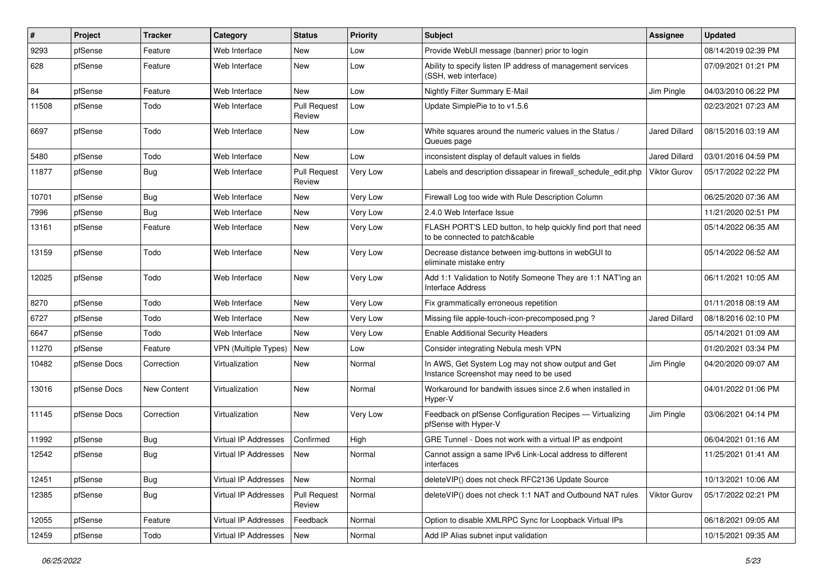| ∦     | Project      | <b>Tracker</b>     | <b>Category</b>             | <b>Status</b>                 | <b>Priority</b> | <b>Subject</b>                                                                                 | <b>Assignee</b>      | <b>Updated</b>      |
|-------|--------------|--------------------|-----------------------------|-------------------------------|-----------------|------------------------------------------------------------------------------------------------|----------------------|---------------------|
| 9293  | pfSense      | Feature            | Web Interface               | New                           | Low             | Provide WebUI message (banner) prior to login                                                  |                      | 08/14/2019 02:39 PM |
| 628   | pfSense      | Feature            | Web Interface               | New                           | Low             | Ability to specify listen IP address of management services<br>(SSH, web interface)            |                      | 07/09/2021 01:21 PM |
| 84    | pfSense      | Feature            | Web Interface               | New                           | Low             | Nightly Filter Summary E-Mail                                                                  | Jim Pingle           | 04/03/2010 06:22 PM |
| 11508 | pfSense      | Todo               | Web Interface               | <b>Pull Request</b><br>Review | Low             | Update SimplePie to to v1.5.6                                                                  |                      | 02/23/2021 07:23 AM |
| 6697  | pfSense      | Todo               | Web Interface               | New                           | Low             | White squares around the numeric values in the Status /<br>Queues page                         | <b>Jared Dillard</b> | 08/15/2016 03:19 AM |
| 5480  | pfSense      | Todo               | Web Interface               | New                           | Low             | inconsistent display of default values in fields                                               | <b>Jared Dillard</b> | 03/01/2016 04:59 PM |
| 11877 | pfSense      | <b>Bug</b>         | Web Interface               | <b>Pull Request</b><br>Review | Very Low        | Labels and description dissapear in firewall_schedule_edit.php                                 | <b>Viktor Gurov</b>  | 05/17/2022 02:22 PM |
| 10701 | pfSense      | Bug                | Web Interface               | New                           | Very Low        | Firewall Log too wide with Rule Description Column                                             |                      | 06/25/2020 07:36 AM |
| 7996  | pfSense      | Bug                | Web Interface               | New                           | Very Low        | 2.4.0 Web Interface Issue                                                                      |                      | 11/21/2020 02:51 PM |
| 13161 | pfSense      | Feature            | Web Interface               | New                           | Very Low        | FLASH PORT'S LED button, to help quickly find port that need<br>to be connected to patch&cable |                      | 05/14/2022 06:35 AM |
| 13159 | pfSense      | Todo               | Web Interface               | <b>New</b>                    | Very Low        | Decrease distance between img-buttons in webGUI to<br>eliminate mistake entry                  |                      | 05/14/2022 06:52 AM |
| 12025 | pfSense      | Todo               | Web Interface               | <b>New</b>                    | Very Low        | Add 1:1 Validation to Notify Someone They are 1:1 NAT'ing an<br><b>Interface Address</b>       |                      | 06/11/2021 10:05 AM |
| 8270  | pfSense      | Todo               | Web Interface               | <b>New</b>                    | Very Low        | Fix grammatically erroneous repetition                                                         |                      | 01/11/2018 08:19 AM |
| 6727  | pfSense      | Todo               | Web Interface               | New                           | Very Low        | Missing file apple-touch-icon-precomposed.png?                                                 | <b>Jared Dillard</b> | 08/18/2016 02:10 PM |
| 6647  | pfSense      | Todo               | Web Interface               | <b>New</b>                    | Very Low        | <b>Enable Additional Security Headers</b>                                                      |                      | 05/14/2021 01:09 AM |
| 11270 | pfSense      | Feature            | <b>VPN (Multiple Types)</b> | New                           | Low             | Consider integrating Nebula mesh VPN                                                           |                      | 01/20/2021 03:34 PM |
| 10482 | pfSense Docs | Correction         | Virtualization              | <b>New</b>                    | Normal          | In AWS, Get System Log may not show output and Get<br>Instance Screenshot may need to be used  | Jim Pingle           | 04/20/2020 09:07 AM |
| 13016 | pfSense Docs | <b>New Content</b> | Virtualization              | New                           | Normal          | Workaround for bandwith issues since 2.6 when installed in<br>Hyper-V                          |                      | 04/01/2022 01:06 PM |
| 11145 | pfSense Docs | Correction         | Virtualization              | New                           | Very Low        | Feedback on pfSense Configuration Recipes - Virtualizing<br>pfSense with Hyper-V               | Jim Pingle           | 03/06/2021 04:14 PM |
| 11992 | pfSense      | <b>Bug</b>         | Virtual IP Addresses        | Confirmed                     | High            | GRE Tunnel - Does not work with a virtual IP as endpoint                                       |                      | 06/04/2021 01:16 AM |
| 12542 | pfSense      | Bug                | Virtual IP Addresses        | <b>New</b>                    | Normal          | Cannot assign a same IPv6 Link-Local address to different<br>interfaces                        |                      | 11/25/2021 01:41 AM |
| 12451 | pfSense      | <b>Bug</b>         | Virtual IP Addresses        | New                           | Normal          | deleteVIP() does not check RFC2136 Update Source                                               |                      | 10/13/2021 10:06 AM |
| 12385 | pfSense      | Bug                | Virtual IP Addresses        | <b>Pull Request</b><br>Review | Normal          | deleteVIP() does not check 1:1 NAT and Outbound NAT rules                                      | Viktor Gurov         | 05/17/2022 02:21 PM |
| 12055 | pfSense      | Feature            | Virtual IP Addresses        | Feedback                      | Normal          | Option to disable XMLRPC Sync for Loopback Virtual IPs                                         |                      | 06/18/2021 09:05 AM |
| 12459 | pfSense      | Todo               | Virtual IP Addresses        | New                           | Normal          | Add IP Alias subnet input validation                                                           |                      | 10/15/2021 09:35 AM |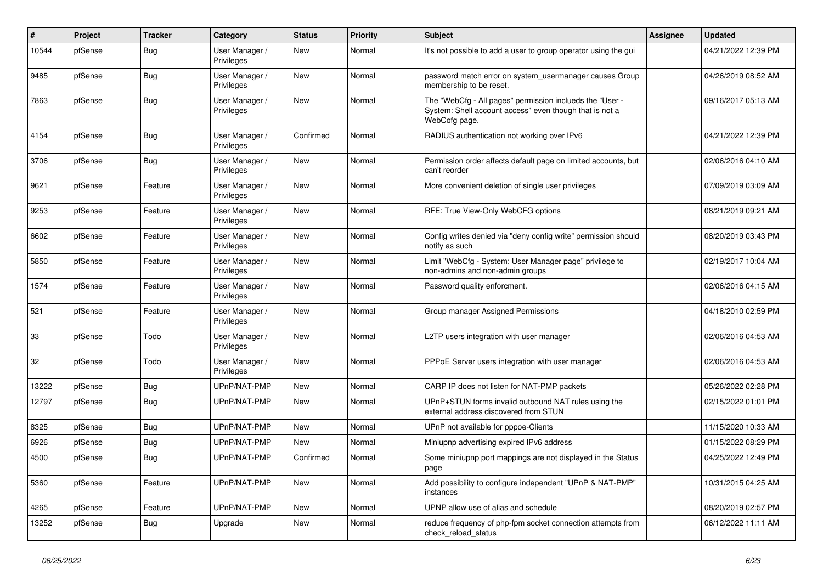| #     | Project | <b>Tracker</b> | Category                     | <b>Status</b> | Priority | <b>Subject</b>                                                                                                                       | <b>Assignee</b> | <b>Updated</b>      |
|-------|---------|----------------|------------------------------|---------------|----------|--------------------------------------------------------------------------------------------------------------------------------------|-----------------|---------------------|
| 10544 | pfSense | <b>Bug</b>     | User Manager /<br>Privileges | <b>New</b>    | Normal   | It's not possible to add a user to group operator using the gui                                                                      |                 | 04/21/2022 12:39 PM |
| 9485  | pfSense | Bug            | User Manager /<br>Privileges | <b>New</b>    | Normal   | password match error on system usermanager causes Group<br>membership to be reset.                                                   |                 | 04/26/2019 08:52 AM |
| 7863  | pfSense | <b>Bug</b>     | User Manager /<br>Privileges | <b>New</b>    | Normal   | The "WebCfg - All pages" permission inclueds the "User -<br>System: Shell account access" even though that is not a<br>WebCofg page. |                 | 09/16/2017 05:13 AM |
| 4154  | pfSense | <b>Bug</b>     | User Manager /<br>Privileges | Confirmed     | Normal   | RADIUS authentication not working over IPv6                                                                                          |                 | 04/21/2022 12:39 PM |
| 3706  | pfSense | Bug            | User Manager /<br>Privileges | <b>New</b>    | Normal   | Permission order affects default page on limited accounts, but<br>can't reorder                                                      |                 | 02/06/2016 04:10 AM |
| 9621  | pfSense | Feature        | User Manager /<br>Privileges | New           | Normal   | More convenient deletion of single user privileges                                                                                   |                 | 07/09/2019 03:09 AM |
| 9253  | pfSense | Feature        | User Manager /<br>Privileges | New           | Normal   | RFE: True View-Only WebCFG options                                                                                                   |                 | 08/21/2019 09:21 AM |
| 6602  | pfSense | Feature        | User Manager /<br>Privileges | <b>New</b>    | Normal   | Config writes denied via "deny config write" permission should<br>notify as such                                                     |                 | 08/20/2019 03:43 PM |
| 5850  | pfSense | Feature        | User Manager /<br>Privileges | New           | Normal   | Limit "WebCfg - System: User Manager page" privilege to<br>non-admins and non-admin groups                                           |                 | 02/19/2017 10:04 AM |
| 1574  | pfSense | Feature        | User Manager /<br>Privileges | <b>New</b>    | Normal   | Password quality enforcment.                                                                                                         |                 | 02/06/2016 04:15 AM |
| 521   | pfSense | Feature        | User Manager /<br>Privileges | <b>New</b>    | Normal   | Group manager Assigned Permissions                                                                                                   |                 | 04/18/2010 02:59 PM |
| 33    | pfSense | Todo           | User Manager /<br>Privileges | <b>New</b>    | Normal   | L2TP users integration with user manager                                                                                             |                 | 02/06/2016 04:53 AM |
| 32    | pfSense | Todo           | User Manager /<br>Privileges | <b>New</b>    | Normal   | PPPoE Server users integration with user manager                                                                                     |                 | 02/06/2016 04:53 AM |
| 13222 | pfSense | <b>Bug</b>     | UPnP/NAT-PMP                 | <b>New</b>    | Normal   | CARP IP does not listen for NAT-PMP packets                                                                                          |                 | 05/26/2022 02:28 PM |
| 12797 | pfSense | Bug            | UPnP/NAT-PMP                 | <b>New</b>    | Normal   | UPnP+STUN forms invalid outbound NAT rules using the<br>external address discovered from STUN                                        |                 | 02/15/2022 01:01 PM |
| 8325  | pfSense | Bug            | UPnP/NAT-PMP                 | <b>New</b>    | Normal   | UPnP not available for pppoe-Clients                                                                                                 |                 | 11/15/2020 10:33 AM |
| 6926  | pfSense | Bug            | UPnP/NAT-PMP                 | <b>New</b>    | Normal   | Miniupnp advertising expired IPv6 address                                                                                            |                 | 01/15/2022 08:29 PM |
| 4500  | pfSense | <b>Bug</b>     | UPnP/NAT-PMP                 | Confirmed     | Normal   | Some miniupnp port mappings are not displayed in the Status<br>page                                                                  |                 | 04/25/2022 12:49 PM |
| 5360  | pfSense | Feature        | UPnP/NAT-PMP                 | <b>New</b>    | Normal   | Add possibility to configure independent "UPnP & NAT-PMP"<br>instances                                                               |                 | 10/31/2015 04:25 AM |
| 4265  | pfSense | Feature        | UPnP/NAT-PMP                 | <b>New</b>    | Normal   | UPNP allow use of alias and schedule                                                                                                 |                 | 08/20/2019 02:57 PM |
| 13252 | pfSense | <b>Bug</b>     | Upgrade                      | <b>New</b>    | Normal   | reduce frequency of php-fpm socket connection attempts from<br>check_reload_status                                                   |                 | 06/12/2022 11:11 AM |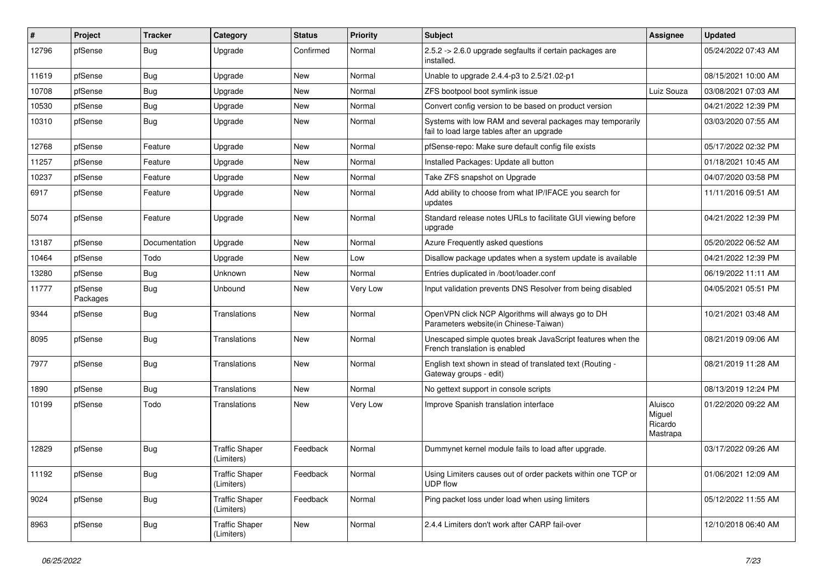| $\#$  | Project             | <b>Tracker</b> | Category                            | <b>Status</b> | <b>Priority</b> | Subject                                                                                                 | <b>Assignee</b>                          | <b>Updated</b>      |
|-------|---------------------|----------------|-------------------------------------|---------------|-----------------|---------------------------------------------------------------------------------------------------------|------------------------------------------|---------------------|
| 12796 | pfSense             | Bug            | Upgrade                             | Confirmed     | Normal          | 2.5.2 -> 2.6.0 upgrade segfaults if certain packages are<br>installed.                                  |                                          | 05/24/2022 07:43 AM |
| 11619 | pfSense             | <b>Bug</b>     | Upgrade                             | New           | Normal          | Unable to upgrade 2.4.4-p3 to 2.5/21.02-p1                                                              |                                          | 08/15/2021 10:00 AM |
| 10708 | pfSense             | <b>Bug</b>     | Upgrade                             | New           | Normal          | ZFS bootpool boot symlink issue                                                                         | Luiz Souza                               | 03/08/2021 07:03 AM |
| 10530 | pfSense             | Bug            | Upgrade                             | New           | Normal          | Convert config version to be based on product version                                                   |                                          | 04/21/2022 12:39 PM |
| 10310 | pfSense             | Bug            | Upgrade                             | New           | Normal          | Systems with low RAM and several packages may temporarily<br>fail to load large tables after an upgrade |                                          | 03/03/2020 07:55 AM |
| 12768 | pfSense             | Feature        | Upgrade                             | <b>New</b>    | Normal          | pfSense-repo: Make sure default config file exists                                                      |                                          | 05/17/2022 02:32 PM |
| 11257 | pfSense             | Feature        | Upgrade                             | New           | Normal          | Installed Packages: Update all button                                                                   |                                          | 01/18/2021 10:45 AM |
| 10237 | pfSense             | Feature        | Upgrade                             | New           | Normal          | Take ZFS snapshot on Upgrade                                                                            |                                          | 04/07/2020 03:58 PM |
| 6917  | pfSense             | Feature        | Upgrade                             | New           | Normal          | Add ability to choose from what IP/IFACE you search for<br>updates                                      |                                          | 11/11/2016 09:51 AM |
| 5074  | pfSense             | Feature        | Upgrade                             | <b>New</b>    | Normal          | Standard release notes URLs to facilitate GUI viewing before<br>upgrade                                 |                                          | 04/21/2022 12:39 PM |
| 13187 | pfSense             | Documentation  | Upgrade                             | New           | Normal          | Azure Frequently asked questions                                                                        |                                          | 05/20/2022 06:52 AM |
| 10464 | pfSense             | Todo           | Upgrade                             | New           | Low             | Disallow package updates when a system update is available                                              |                                          | 04/21/2022 12:39 PM |
| 13280 | pfSense             | <b>Bug</b>     | Unknown                             | New           | Normal          | Entries duplicated in /boot/loader.conf                                                                 |                                          | 06/19/2022 11:11 AM |
| 11777 | pfSense<br>Packages | Bug            | Unbound                             | New           | Very Low        | Input validation prevents DNS Resolver from being disabled                                              |                                          | 04/05/2021 05:51 PM |
| 9344  | pfSense             | Bug            | Translations                        | <b>New</b>    | Normal          | OpenVPN click NCP Algorithms will always go to DH<br>Parameters website(in Chinese-Taiwan)              |                                          | 10/21/2021 03:48 AM |
| 8095  | pfSense             | Bug            | Translations                        | New           | Normal          | Unescaped simple quotes break JavaScript features when the<br>French translation is enabled             |                                          | 08/21/2019 09:06 AM |
| 7977  | pfSense             | Bug            | Translations                        | <b>New</b>    | Normal          | English text shown in stead of translated text (Routing -<br>Gateway groups - edit)                     |                                          | 08/21/2019 11:28 AM |
| 1890  | pfSense             | Bug            | Translations                        | New           | Normal          | No gettext support in console scripts                                                                   |                                          | 08/13/2019 12:24 PM |
| 10199 | pfSense             | Todo           | Translations                        | New           | Very Low        | Improve Spanish translation interface                                                                   | Aluisco<br>Miguel<br>Ricardo<br>Mastrapa | 01/22/2020 09:22 AM |
| 12829 | pfSense             | Bug            | <b>Traffic Shaper</b><br>(Limiters) | Feedback      | Normal          | Dummynet kernel module fails to load after upgrade.                                                     |                                          | 03/17/2022 09:26 AM |
| 11192 | pfSense             | Bug            | <b>Traffic Shaper</b><br>(Limiters) | Feedback      | Normal          | Using Limiters causes out of order packets within one TCP or<br><b>UDP flow</b>                         |                                          | 01/06/2021 12:09 AM |
| 9024  | pfSense             | <b>Bug</b>     | <b>Traffic Shaper</b><br>(Limiters) | Feedback      | Normal          | Ping packet loss under load when using limiters                                                         |                                          | 05/12/2022 11:55 AM |
| 8963  | pfSense             | <b>Bug</b>     | <b>Traffic Shaper</b><br>(Limiters) | New           | Normal          | 2.4.4 Limiters don't work after CARP fail-over                                                          |                                          | 12/10/2018 06:40 AM |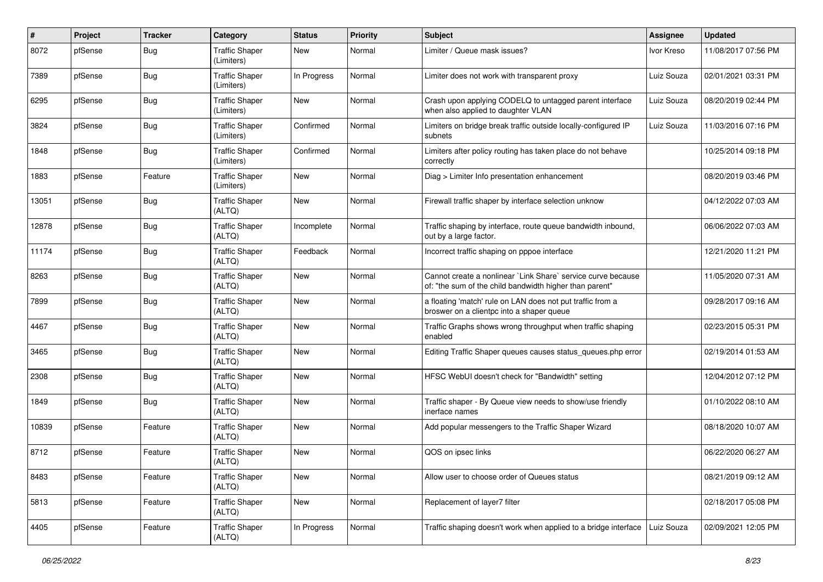| #     | Project | <b>Tracker</b> | Category                            | <b>Status</b> | <b>Priority</b> | Subject                                                                                                                 | <b>Assignee</b> | <b>Updated</b>      |
|-------|---------|----------------|-------------------------------------|---------------|-----------------|-------------------------------------------------------------------------------------------------------------------------|-----------------|---------------------|
| 8072  | pfSense | <b>Bug</b>     | <b>Traffic Shaper</b><br>(Limiters) | New           | Normal          | Limiter / Queue mask issues?                                                                                            | Ivor Kreso      | 11/08/2017 07:56 PM |
| 7389  | pfSense | Bug            | <b>Traffic Shaper</b><br>(Limiters) | In Progress   | Normal          | Limiter does not work with transparent proxy                                                                            | Luiz Souza      | 02/01/2021 03:31 PM |
| 6295  | pfSense | Bug            | <b>Traffic Shaper</b><br>(Limiters) | <b>New</b>    | Normal          | Crash upon applying CODELQ to untagged parent interface<br>when also applied to daughter VLAN                           | Luiz Souza      | 08/20/2019 02:44 PM |
| 3824  | pfSense | Bug            | <b>Traffic Shaper</b><br>(Limiters) | Confirmed     | Normal          | Limiters on bridge break traffic outside locally-configured IP<br>subnets                                               | Luiz Souza      | 11/03/2016 07:16 PM |
| 1848  | pfSense | Bug            | <b>Traffic Shaper</b><br>(Limiters) | Confirmed     | Normal          | Limiters after policy routing has taken place do not behave<br>correctly                                                |                 | 10/25/2014 09:18 PM |
| 1883  | pfSense | Feature        | <b>Traffic Shaper</b><br>(Limiters) | <b>New</b>    | Normal          | Diag > Limiter Info presentation enhancement                                                                            |                 | 08/20/2019 03:46 PM |
| 13051 | pfSense | <b>Bug</b>     | <b>Traffic Shaper</b><br>(ALTQ)     | New           | Normal          | Firewall traffic shaper by interface selection unknow                                                                   |                 | 04/12/2022 07:03 AM |
| 12878 | pfSense | Bug            | <b>Traffic Shaper</b><br>(ALTQ)     | Incomplete    | Normal          | Traffic shaping by interface, route queue bandwidth inbound,<br>out by a large factor.                                  |                 | 06/06/2022 07:03 AM |
| 11174 | pfSense | Bug            | <b>Traffic Shaper</b><br>(ALTQ)     | Feedback      | Normal          | Incorrect traffic shaping on pppoe interface                                                                            |                 | 12/21/2020 11:21 PM |
| 8263  | pfSense | Bug            | <b>Traffic Shaper</b><br>(ALTQ)     | <b>New</b>    | Normal          | Cannot create a nonlinear `Link Share` service curve because<br>of: "the sum of the child bandwidth higher than parent" |                 | 11/05/2020 07:31 AM |
| 7899  | pfSense | Bug            | <b>Traffic Shaper</b><br>(ALTQ)     | <b>New</b>    | Normal          | a floating 'match' rule on LAN does not put traffic from a<br>broswer on a clientpc into a shaper queue                 |                 | 09/28/2017 09:16 AM |
| 4467  | pfSense | Bug            | <b>Traffic Shaper</b><br>(ALTQ)     | <b>New</b>    | Normal          | Traffic Graphs shows wrong throughput when traffic shaping<br>enabled                                                   |                 | 02/23/2015 05:31 PM |
| 3465  | pfSense | Bug            | <b>Traffic Shaper</b><br>(ALTQ)     | <b>New</b>    | Normal          | Editing Traffic Shaper queues causes status_queues.php error                                                            |                 | 02/19/2014 01:53 AM |
| 2308  | pfSense | Bug            | <b>Traffic Shaper</b><br>(ALTQ)     | <b>New</b>    | Normal          | HFSC WebUI doesn't check for "Bandwidth" setting                                                                        |                 | 12/04/2012 07:12 PM |
| 1849  | pfSense | Bug            | <b>Traffic Shaper</b><br>(ALTQ)     | New           | Normal          | Traffic shaper - By Queue view needs to show/use friendly<br>inerface names                                             |                 | 01/10/2022 08:10 AM |
| 10839 | pfSense | Feature        | <b>Traffic Shaper</b><br>(ALTQ)     | New           | Normal          | Add popular messengers to the Traffic Shaper Wizard                                                                     |                 | 08/18/2020 10:07 AM |
| 8712  | pfSense | Feature        | <b>Traffic Shaper</b><br>(ALTQ)     | <b>New</b>    | Normal          | QOS on ipsec links                                                                                                      |                 | 06/22/2020 06:27 AM |
| 8483  | pfSense | Feature        | <b>Traffic Shaper</b><br>(ALTQ)     | New           | Normal          | Allow user to choose order of Queues status                                                                             |                 | 08/21/2019 09:12 AM |
| 5813  | pfSense | Feature        | <b>Traffic Shaper</b><br>(ALTQ)     | New           | Normal          | Replacement of layer7 filter                                                                                            |                 | 02/18/2017 05:08 PM |
| 4405  | pfSense | Feature        | <b>Traffic Shaper</b><br>(ALTQ)     | In Progress   | Normal          | Traffic shaping doesn't work when applied to a bridge interface                                                         | Luiz Souza      | 02/09/2021 12:05 PM |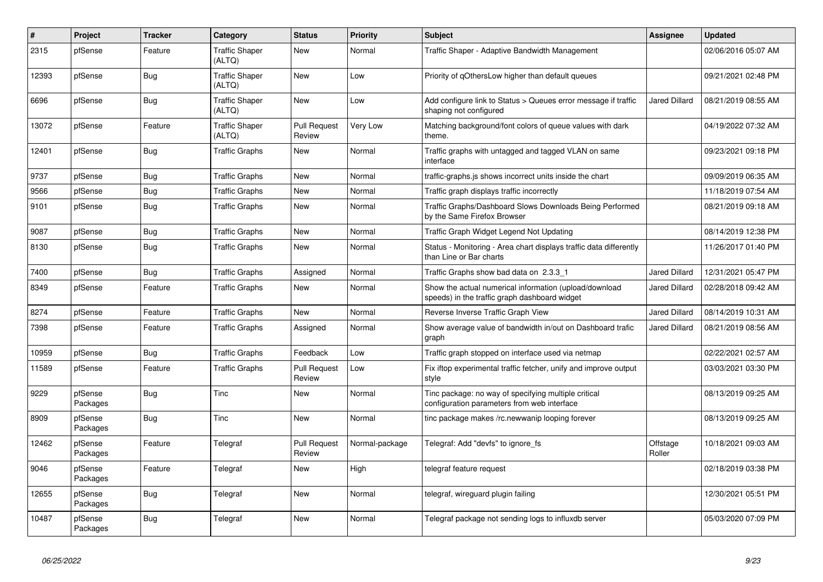| #     | Project             | <b>Tracker</b> | Category                        | <b>Status</b>                 | <b>Priority</b> | <b>Subject</b>                                                                                          | Assignee             | <b>Updated</b>      |
|-------|---------------------|----------------|---------------------------------|-------------------------------|-----------------|---------------------------------------------------------------------------------------------------------|----------------------|---------------------|
| 2315  | pfSense             | Feature        | <b>Traffic Shaper</b><br>(ALTQ) | New                           | Normal          | Traffic Shaper - Adaptive Bandwidth Management                                                          |                      | 02/06/2016 05:07 AM |
| 12393 | pfSense             | <b>Bug</b>     | <b>Traffic Shaper</b><br>(ALTQ) | <b>New</b>                    | Low             | Priority of qOthersLow higher than default queues                                                       |                      | 09/21/2021 02:48 PM |
| 6696  | pfSense             | <b>Bug</b>     | <b>Traffic Shaper</b><br>(ALTQ) | <b>New</b>                    | Low             | Add configure link to Status > Queues error message if traffic<br>shaping not configured                | <b>Jared Dillard</b> | 08/21/2019 08:55 AM |
| 13072 | pfSense             | Feature        | <b>Traffic Shaper</b><br>(ALTQ) | <b>Pull Request</b><br>Review | Very Low        | Matching background/font colors of queue values with dark<br>theme.                                     |                      | 04/19/2022 07:32 AM |
| 12401 | pfSense             | Bug            | <b>Traffic Graphs</b>           | <b>New</b>                    | Normal          | Traffic graphs with untagged and tagged VLAN on same<br>interface                                       |                      | 09/23/2021 09:18 PM |
| 9737  | pfSense             | Bug            | <b>Traffic Graphs</b>           | New                           | Normal          | traffic-graphs is shows incorrect units inside the chart                                                |                      | 09/09/2019 06:35 AM |
| 9566  | pfSense             | <b>Bug</b>     | <b>Traffic Graphs</b>           | <b>New</b>                    | Normal          | Traffic graph displays traffic incorrectly                                                              |                      | 11/18/2019 07:54 AM |
| 9101  | pfSense             | <b>Bug</b>     | <b>Traffic Graphs</b>           | <b>New</b>                    | Normal          | Traffic Graphs/Dashboard Slows Downloads Being Performed<br>by the Same Firefox Browser                 |                      | 08/21/2019 09:18 AM |
| 9087  | pfSense             | <b>Bug</b>     | <b>Traffic Graphs</b>           | <b>New</b>                    | Normal          | Traffic Graph Widget Legend Not Updating                                                                |                      | 08/14/2019 12:38 PM |
| 8130  | pfSense             | <b>Bug</b>     | <b>Traffic Graphs</b>           | New                           | Normal          | Status - Monitoring - Area chart displays traffic data differently<br>than Line or Bar charts           |                      | 11/26/2017 01:40 PM |
| 7400  | pfSense             | Bug            | <b>Traffic Graphs</b>           | Assigned                      | Normal          | Traffic Graphs show bad data on 2.3.3 1                                                                 | <b>Jared Dillard</b> | 12/31/2021 05:47 PM |
| 8349  | pfSense             | Feature        | <b>Traffic Graphs</b>           | <b>New</b>                    | Normal          | Show the actual numerical information (upload/download<br>speeds) in the traffic graph dashboard widget | <b>Jared Dillard</b> | 02/28/2018 09:42 AM |
| 8274  | pfSense             | Feature        | <b>Traffic Graphs</b>           | <b>New</b>                    | Normal          | Reverse Inverse Traffic Graph View                                                                      | Jared Dillard        | 08/14/2019 10:31 AM |
| 7398  | pfSense             | Feature        | <b>Traffic Graphs</b>           | Assigned                      | Normal          | Show average value of bandwidth in/out on Dashboard trafic<br>graph                                     | <b>Jared Dillard</b> | 08/21/2019 08:56 AM |
| 10959 | pfSense             | Bug            | <b>Traffic Graphs</b>           | Feedback                      | Low             | Traffic graph stopped on interface used via netmap                                                      |                      | 02/22/2021 02:57 AM |
| 11589 | pfSense             | Feature        | <b>Traffic Graphs</b>           | <b>Pull Request</b><br>Review | Low             | Fix iftop experimental traffic fetcher, unify and improve output<br>style                               |                      | 03/03/2021 03:30 PM |
| 9229  | pfSense<br>Packages | <b>Bug</b>     | Tinc                            | New                           | Normal          | Tinc package: no way of specifying multiple critical<br>configuration parameters from web interface     |                      | 08/13/2019 09:25 AM |
| 8909  | pfSense<br>Packages | Bug            | Tinc                            | <b>New</b>                    | Normal          | tinc package makes /rc.newwanip looping forever                                                         |                      | 08/13/2019 09:25 AM |
| 12462 | pfSense<br>Packages | Feature        | Telegraf                        | <b>Pull Request</b><br>Review | Normal-package  | Telegraf: Add "devfs" to ignore fs                                                                      | Offstage<br>Roller   | 10/18/2021 09:03 AM |
| 9046  | pfSense<br>Packages | Feature        | Telegraf                        | <b>New</b>                    | High            | telegraf feature request                                                                                |                      | 02/18/2019 03:38 PM |
| 12655 | pfSense<br>Packages | Bug            | Telegraf                        | New                           | Normal          | telegraf, wireguard plugin failing                                                                      |                      | 12/30/2021 05:51 PM |
| 10487 | pfSense<br>Packages | <b>Bug</b>     | Telegraf                        | <b>New</b>                    | Normal          | Telegraf package not sending logs to influxdb server                                                    |                      | 05/03/2020 07:09 PM |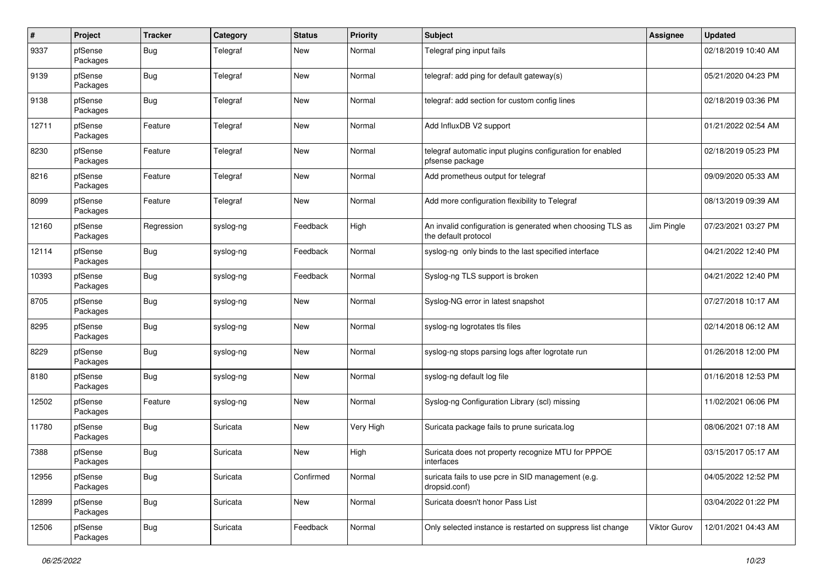| $\pmb{\#}$ | Project             | <b>Tracker</b> | Category  | <b>Status</b> | <b>Priority</b> | Subject                                                                            | Assignee     | <b>Updated</b>      |
|------------|---------------------|----------------|-----------|---------------|-----------------|------------------------------------------------------------------------------------|--------------|---------------------|
| 9337       | pfSense<br>Packages | <b>Bug</b>     | Telegraf  | New           | Normal          | Telegraf ping input fails                                                          |              | 02/18/2019 10:40 AM |
| 9139       | pfSense<br>Packages | Bug            | Telegraf  | <b>New</b>    | Normal          | telegraf: add ping for default gateway(s)                                          |              | 05/21/2020 04:23 PM |
| 9138       | pfSense<br>Packages | <b>Bug</b>     | Telegraf  | <b>New</b>    | Normal          | telegraf: add section for custom config lines                                      |              | 02/18/2019 03:36 PM |
| 12711      | pfSense<br>Packages | Feature        | Telegraf  | <b>New</b>    | Normal          | Add InfluxDB V2 support                                                            |              | 01/21/2022 02:54 AM |
| 8230       | pfSense<br>Packages | Feature        | Telegraf  | <b>New</b>    | Normal          | telegraf automatic input plugins configuration for enabled<br>pfsense package      |              | 02/18/2019 05:23 PM |
| 8216       | pfSense<br>Packages | Feature        | Telegraf  | <b>New</b>    | Normal          | Add prometheus output for telegraf                                                 |              | 09/09/2020 05:33 AM |
| 8099       | pfSense<br>Packages | Feature        | Telegraf  | <b>New</b>    | Normal          | Add more configuration flexibility to Telegraf                                     |              | 08/13/2019 09:39 AM |
| 12160      | pfSense<br>Packages | Regression     | syslog-ng | Feedback      | High            | An invalid configuration is generated when choosing TLS as<br>the default protocol | Jim Pingle   | 07/23/2021 03:27 PM |
| 12114      | pfSense<br>Packages | Bug            | syslog-ng | Feedback      | Normal          | syslog-ng only binds to the last specified interface                               |              | 04/21/2022 12:40 PM |
| 10393      | pfSense<br>Packages | Bug            | syslog-ng | Feedback      | Normal          | Syslog-ng TLS support is broken                                                    |              | 04/21/2022 12:40 PM |
| 8705       | pfSense<br>Packages | Bug            | syslog-ng | <b>New</b>    | Normal          | Syslog-NG error in latest snapshot                                                 |              | 07/27/2018 10:17 AM |
| 8295       | pfSense<br>Packages | Bug            | syslog-ng | <b>New</b>    | Normal          | syslog-ng logrotates tls files                                                     |              | 02/14/2018 06:12 AM |
| 8229       | pfSense<br>Packages | Bug            | syslog-ng | <b>New</b>    | Normal          | syslog-ng stops parsing logs after logrotate run                                   |              | 01/26/2018 12:00 PM |
| 8180       | pfSense<br>Packages | Bug            | syslog-ng | <b>New</b>    | Normal          | syslog-ng default log file                                                         |              | 01/16/2018 12:53 PM |
| 12502      | pfSense<br>Packages | Feature        | syslog-ng | New           | Normal          | Syslog-ng Configuration Library (scl) missing                                      |              | 11/02/2021 06:06 PM |
| 11780      | pfSense<br>Packages | Bug            | Suricata  | <b>New</b>    | Very High       | Suricata package fails to prune suricata.log                                       |              | 08/06/2021 07:18 AM |
| 7388       | pfSense<br>Packages | Bug            | Suricata  | <b>New</b>    | High            | Suricata does not property recognize MTU for PPPOE<br>interfaces                   |              | 03/15/2017 05:17 AM |
| 12956      | pfSense<br>Packages | <b>Bug</b>     | Suricata  | Confirmed     | Normal          | suricata fails to use pcre in SID management (e.g.<br>dropsid.conf)                |              | 04/05/2022 12:52 PM |
| 12899      | pfSense<br>Packages | <b>Bug</b>     | Suricata  | <b>New</b>    | Normal          | Suricata doesn't honor Pass List                                                   |              | 03/04/2022 01:22 PM |
| 12506      | pfSense<br>Packages | <b>Bug</b>     | Suricata  | Feedback      | Normal          | Only selected instance is restarted on suppress list change                        | Viktor Gurov | 12/01/2021 04:43 AM |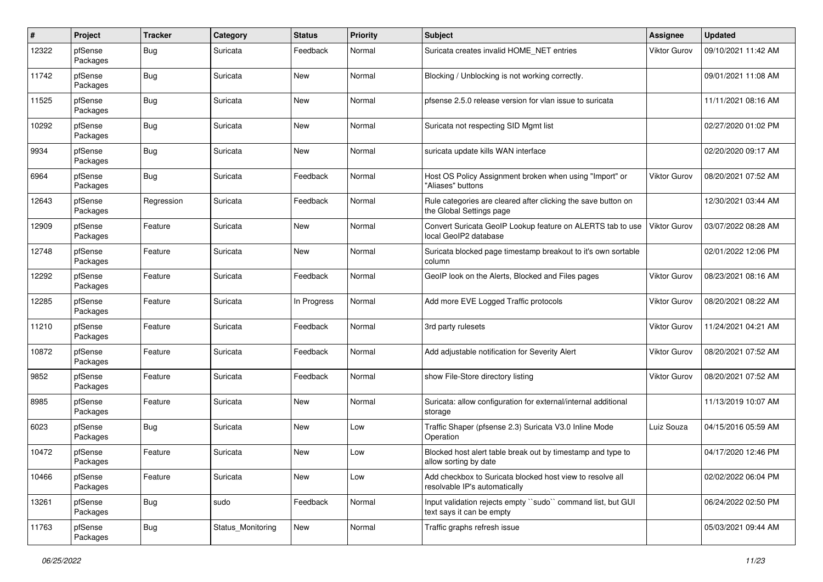| $\pmb{\sharp}$ | Project             | <b>Tracker</b> | Category          | <b>Status</b> | <b>Priority</b> | <b>Subject</b>                                                                             | <b>Assignee</b>     | <b>Updated</b>      |
|----------------|---------------------|----------------|-------------------|---------------|-----------------|--------------------------------------------------------------------------------------------|---------------------|---------------------|
| 12322          | pfSense<br>Packages | <b>Bug</b>     | Suricata          | Feedback      | Normal          | Suricata creates invalid HOME_NET entries                                                  | <b>Viktor Gurov</b> | 09/10/2021 11:42 AM |
| 11742          | pfSense<br>Packages | Bug            | Suricata          | <b>New</b>    | Normal          | Blocking / Unblocking is not working correctly.                                            |                     | 09/01/2021 11:08 AM |
| 11525          | pfSense<br>Packages | <b>Bug</b>     | Suricata          | <b>New</b>    | Normal          | pfsense 2.5.0 release version for vlan issue to suricata                                   |                     | 11/11/2021 08:16 AM |
| 10292          | pfSense<br>Packages | Bug            | Suricata          | <b>New</b>    | Normal          | Suricata not respecting SID Mgmt list                                                      |                     | 02/27/2020 01:02 PM |
| 9934           | pfSense<br>Packages | Bug            | Suricata          | <b>New</b>    | Normal          | suricata update kills WAN interface                                                        |                     | 02/20/2020 09:17 AM |
| 6964           | pfSense<br>Packages | Bug            | Suricata          | Feedback      | Normal          | Host OS Policy Assignment broken when using "Import" or<br>'Aliases" buttons               | <b>Viktor Gurov</b> | 08/20/2021 07:52 AM |
| 12643          | pfSense<br>Packages | Regression     | Suricata          | Feedback      | Normal          | Rule categories are cleared after clicking the save button on<br>the Global Settings page  |                     | 12/30/2021 03:44 AM |
| 12909          | pfSense<br>Packages | Feature        | Suricata          | New           | Normal          | Convert Suricata GeoIP Lookup feature on ALERTS tab to use<br>local GeoIP2 database        | <b>Viktor Gurov</b> | 03/07/2022 08:28 AM |
| 12748          | pfSense<br>Packages | Feature        | Suricata          | <b>New</b>    | Normal          | Suricata blocked page timestamp breakout to it's own sortable<br>column                    |                     | 02/01/2022 12:06 PM |
| 12292          | pfSense<br>Packages | Feature        | Suricata          | Feedback      | Normal          | GeoIP look on the Alerts, Blocked and Files pages                                          | Viktor Gurov        | 08/23/2021 08:16 AM |
| 12285          | pfSense<br>Packages | Feature        | Suricata          | In Progress   | Normal          | Add more EVE Logged Traffic protocols                                                      | Viktor Gurov        | 08/20/2021 08:22 AM |
| 11210          | pfSense<br>Packages | Feature        | Suricata          | Feedback      | Normal          | 3rd party rulesets                                                                         | Viktor Gurov        | 11/24/2021 04:21 AM |
| 10872          | pfSense<br>Packages | Feature        | Suricata          | Feedback      | Normal          | Add adjustable notification for Severity Alert                                             | Viktor Gurov        | 08/20/2021 07:52 AM |
| 9852           | pfSense<br>Packages | Feature        | Suricata          | Feedback      | Normal          | show File-Store directory listing                                                          | <b>Viktor Gurov</b> | 08/20/2021 07:52 AM |
| 8985           | pfSense<br>Packages | Feature        | Suricata          | New           | Normal          | Suricata: allow configuration for external/internal additional<br>storage                  |                     | 11/13/2019 10:07 AM |
| 6023           | pfSense<br>Packages | Bug            | Suricata          | <b>New</b>    | Low             | Traffic Shaper (pfsense 2.3) Suricata V3.0 Inline Mode<br>Operation                        | Luiz Souza          | 04/15/2016 05:59 AM |
| 10472          | pfSense<br>Packages | Feature        | Suricata          | <b>New</b>    | Low             | Blocked host alert table break out by timestamp and type to<br>allow sorting by date       |                     | 04/17/2020 12:46 PM |
| 10466          | pfSense<br>Packages | Feature        | Suricata          | New           | Low             | Add checkbox to Suricata blocked host view to resolve all<br>resolvable IP's automatically |                     | 02/02/2022 06:04 PM |
| 13261          | pfSense<br>Packages | <b>Bug</b>     | sudo              | Feedback      | Normal          | Input validation rejects empty "sudo" command list, but GUI<br>text says it can be empty   |                     | 06/24/2022 02:50 PM |
| 11763          | pfSense<br>Packages | <b>Bug</b>     | Status Monitoring | New           | Normal          | Traffic graphs refresh issue                                                               |                     | 05/03/2021 09:44 AM |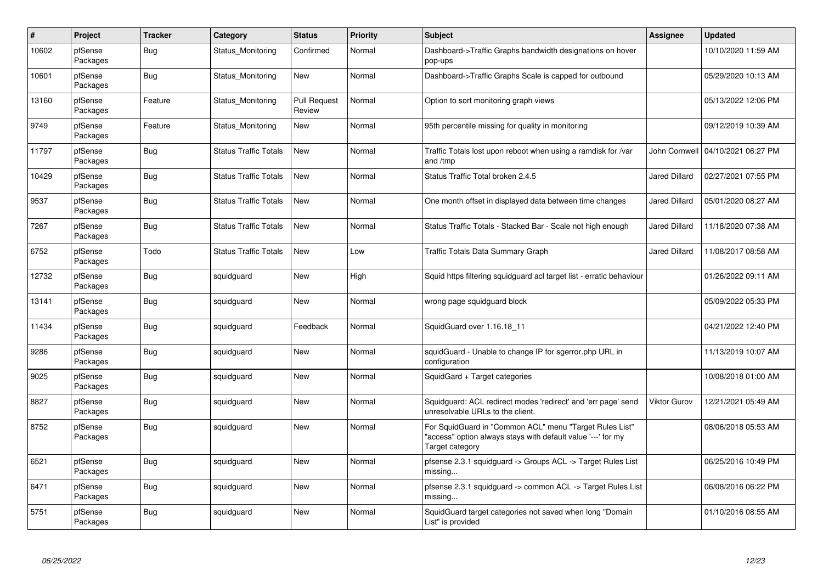| $\vert$ # | Project             | <b>Tracker</b> | Category                     | <b>Status</b>                 | <b>Priority</b> | <b>Subject</b>                                                                                                                             | Assignee             | <b>Updated</b>      |
|-----------|---------------------|----------------|------------------------------|-------------------------------|-----------------|--------------------------------------------------------------------------------------------------------------------------------------------|----------------------|---------------------|
| 10602     | pfSense<br>Packages | Bug            | Status Monitoring            | Confirmed                     | Normal          | Dashboard->Traffic Graphs bandwidth designations on hover<br>pop-ups                                                                       |                      | 10/10/2020 11:59 AM |
| 10601     | pfSense<br>Packages | <b>Bug</b>     | Status Monitoring            | New                           | Normal          | Dashboard->Traffic Graphs Scale is capped for outbound                                                                                     |                      | 05/29/2020 10:13 AM |
| 13160     | pfSense<br>Packages | Feature        | Status Monitoring            | <b>Pull Request</b><br>Review | Normal          | Option to sort monitoring graph views                                                                                                      |                      | 05/13/2022 12:06 PM |
| 9749      | pfSense<br>Packages | Feature        | Status Monitoring            | <b>New</b>                    | Normal          | 95th percentile missing for quality in monitoring                                                                                          |                      | 09/12/2019 10:39 AM |
| 11797     | pfSense<br>Packages | <b>Bug</b>     | <b>Status Traffic Totals</b> | <b>New</b>                    | Normal          | Traffic Totals lost upon reboot when using a ramdisk for /var<br>and /tmp                                                                  | John Cornwell        | 04/10/2021 06:27 PM |
| 10429     | pfSense<br>Packages | <b>Bug</b>     | <b>Status Traffic Totals</b> | New                           | Normal          | Status Traffic Total broken 2.4.5                                                                                                          | <b>Jared Dillard</b> | 02/27/2021 07:55 PM |
| 9537      | pfSense<br>Packages | Bug            | <b>Status Traffic Totals</b> | <b>New</b>                    | Normal          | One month offset in displayed data between time changes                                                                                    | Jared Dillard        | 05/01/2020 08:27 AM |
| 7267      | pfSense<br>Packages | Bug            | <b>Status Traffic Totals</b> | <b>New</b>                    | Normal          | Status Traffic Totals - Stacked Bar - Scale not high enough                                                                                | <b>Jared Dillard</b> | 11/18/2020 07:38 AM |
| 6752      | pfSense<br>Packages | Todo           | <b>Status Traffic Totals</b> | <b>New</b>                    | Low             | <b>Traffic Totals Data Summary Graph</b>                                                                                                   | Jared Dillard        | 11/08/2017 08:58 AM |
| 12732     | pfSense<br>Packages | Bug            | squidguard                   | <b>New</b>                    | High            | Squid https filtering squidguard acl target list - erratic behaviour                                                                       |                      | 01/26/2022 09:11 AM |
| 13141     | pfSense<br>Packages | <b>Bug</b>     | squidguard                   | <b>New</b>                    | Normal          | wrong page squidguard block                                                                                                                |                      | 05/09/2022 05:33 PM |
| 11434     | pfSense<br>Packages | Bug            | squidquard                   | Feedback                      | Normal          | SquidGuard over 1.16.18_11                                                                                                                 |                      | 04/21/2022 12:40 PM |
| 9286      | pfSense<br>Packages | Bug            | squidguard                   | <b>New</b>                    | Normal          | squidGuard - Unable to change IP for sgerror.php URL in<br>configuration                                                                   |                      | 11/13/2019 10:07 AM |
| 9025      | pfSense<br>Packages | <b>Bug</b>     | squidguard                   | <b>New</b>                    | Normal          | SquidGard + Target categories                                                                                                              |                      | 10/08/2018 01:00 AM |
| 8827      | pfSense<br>Packages | Bug            | squidguard                   | <b>New</b>                    | Normal          | Squidguard: ACL redirect modes 'redirect' and 'err page' send<br>unresolvable URLs to the client.                                          | <b>Viktor Gurov</b>  | 12/21/2021 05:49 AM |
| 8752      | pfSense<br>Packages | <b>Bug</b>     | squidguard                   | <b>New</b>                    | Normal          | For SquidGuard in "Common ACL" menu "Target Rules List"<br>"access" option always stays with default value '---' for my<br>Target category |                      | 08/06/2018 05:53 AM |
| 6521      | pfSense<br>Packages | <b>Bug</b>     | squidguard                   | <b>New</b>                    | Normal          | pfsense 2.3.1 squidguard -> Groups ACL -> Target Rules List<br>missing                                                                     |                      | 06/25/2016 10:49 PM |
| 6471      | pfSense<br>Packages | <b>Bug</b>     | squidguard                   | <b>New</b>                    | Normal          | pfsense 2.3.1 squidguard -> common ACL -> Target Rules List<br>missing                                                                     |                      | 06/08/2016 06:22 PM |
| 5751      | pfSense<br>Packages | Bug            | squidguard                   | <b>New</b>                    | Normal          | SquidGuard target categories not saved when long "Domain<br>List" is provided                                                              |                      | 01/10/2016 08:55 AM |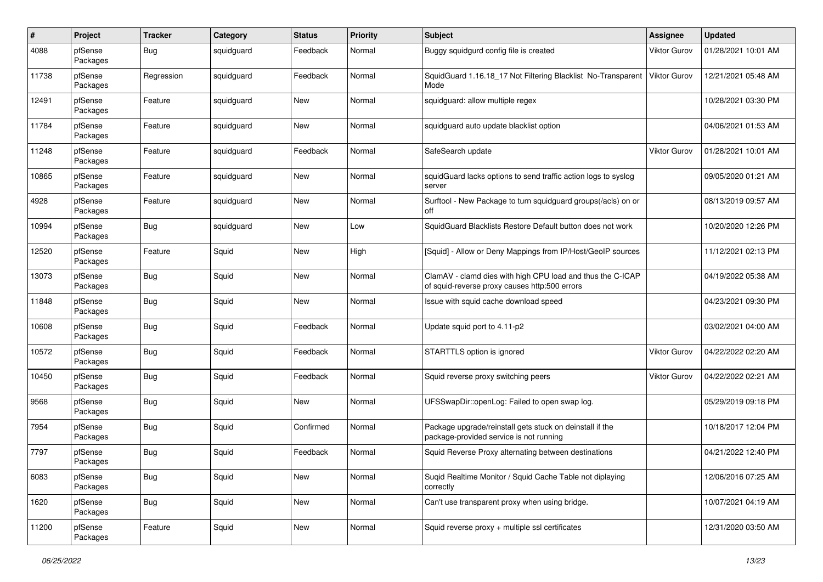| $\#$  | Project             | <b>Tracker</b> | Category   | <b>Status</b> | <b>Priority</b> | <b>Subject</b>                                                                                              | Assignee            | <b>Updated</b>      |
|-------|---------------------|----------------|------------|---------------|-----------------|-------------------------------------------------------------------------------------------------------------|---------------------|---------------------|
| 4088  | pfSense<br>Packages | <b>Bug</b>     | squidguard | Feedback      | Normal          | Buggy squidgurd config file is created                                                                      | <b>Viktor Gurov</b> | 01/28/2021 10:01 AM |
| 11738 | pfSense<br>Packages | Regression     | squidguard | Feedback      | Normal          | SquidGuard 1.16.18_17 Not Filtering Blacklist No-Transparent<br>Mode                                        | <b>Viktor Gurov</b> | 12/21/2021 05:48 AM |
| 12491 | pfSense<br>Packages | Feature        | squidguard | <b>New</b>    | Normal          | squidguard: allow multiple regex                                                                            |                     | 10/28/2021 03:30 PM |
| 11784 | pfSense<br>Packages | Feature        | squidguard | <b>New</b>    | Normal          | squidguard auto update blacklist option                                                                     |                     | 04/06/2021 01:53 AM |
| 11248 | pfSense<br>Packages | Feature        | squidguard | Feedback      | Normal          | SafeSearch update                                                                                           | Viktor Gurov        | 01/28/2021 10:01 AM |
| 10865 | pfSense<br>Packages | Feature        | squidguard | <b>New</b>    | Normal          | squidGuard lacks options to send traffic action logs to syslog<br>server                                    |                     | 09/05/2020 01:21 AM |
| 4928  | pfSense<br>Packages | Feature        | squidguard | New           | Normal          | Surftool - New Package to turn squidguard groups(/acls) on or<br>off                                        |                     | 08/13/2019 09:57 AM |
| 10994 | pfSense<br>Packages | <b>Bug</b>     | squidguard | New           | Low             | SquidGuard Blacklists Restore Default button does not work                                                  |                     | 10/20/2020 12:26 PM |
| 12520 | pfSense<br>Packages | Feature        | Squid      | New           | High            | [Squid] - Allow or Deny Mappings from IP/Host/GeoIP sources                                                 |                     | 11/12/2021 02:13 PM |
| 13073 | pfSense<br>Packages | <b>Bug</b>     | Squid      | <b>New</b>    | Normal          | ClamAV - clamd dies with high CPU load and thus the C-ICAP<br>of squid-reverse proxy causes http:500 errors |                     | 04/19/2022 05:38 AM |
| 11848 | pfSense<br>Packages | <b>Bug</b>     | Squid      | <b>New</b>    | Normal          | Issue with squid cache download speed                                                                       |                     | 04/23/2021 09:30 PM |
| 10608 | pfSense<br>Packages | <b>Bug</b>     | Squid      | Feedback      | Normal          | Update squid port to 4.11-p2                                                                                |                     | 03/02/2021 04:00 AM |
| 10572 | pfSense<br>Packages | <b>Bug</b>     | Squid      | Feedback      | Normal          | STARTTLS option is ignored                                                                                  | Viktor Gurov        | 04/22/2022 02:20 AM |
| 10450 | pfSense<br>Packages | <b>Bug</b>     | Squid      | Feedback      | Normal          | Squid reverse proxy switching peers                                                                         | Viktor Gurov        | 04/22/2022 02:21 AM |
| 9568  | pfSense<br>Packages | <b>Bug</b>     | Squid      | New           | Normal          | UFSSwapDir::openLog: Failed to open swap log.                                                               |                     | 05/29/2019 09:18 PM |
| 7954  | pfSense<br>Packages | Bug            | Squid      | Confirmed     | Normal          | Package upgrade/reinstall gets stuck on deinstall if the<br>package-provided service is not running         |                     | 10/18/2017 12:04 PM |
| 7797  | pfSense<br>Packages | <b>Bug</b>     | Squid      | Feedback      | Normal          | Squid Reverse Proxy alternating between destinations                                                        |                     | 04/21/2022 12:40 PM |
| 6083  | pfSense<br>Packages | <b>Bug</b>     | Squid      | <b>New</b>    | Normal          | Suqid Realtime Monitor / Squid Cache Table not diplaying<br>correctly                                       |                     | 12/06/2016 07:25 AM |
| 1620  | pfSense<br>Packages | <b>Bug</b>     | Squid      | <b>New</b>    | Normal          | Can't use transparent proxy when using bridge.                                                              |                     | 10/07/2021 04:19 AM |
| 11200 | pfSense<br>Packages | Feature        | Squid      | New           | Normal          | Squid reverse proxy + multiple ssl certificates                                                             |                     | 12/31/2020 03:50 AM |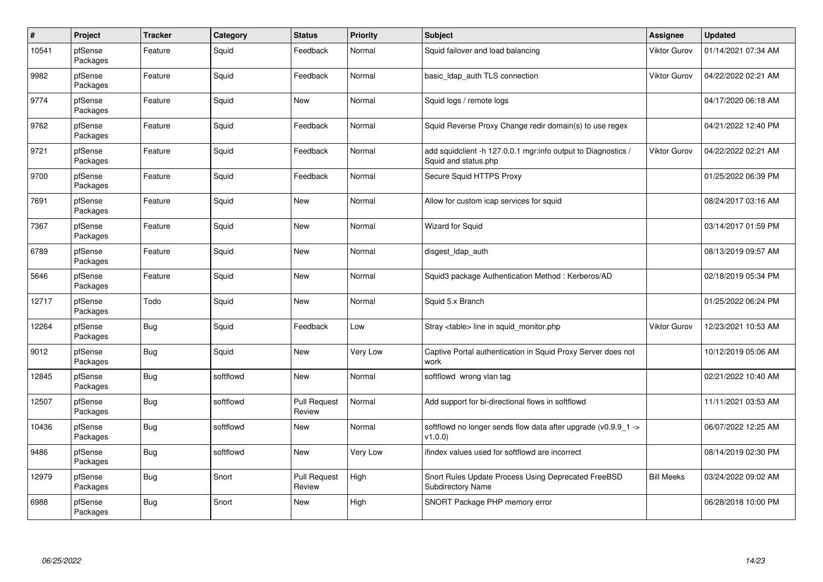| $\#$  | Project             | <b>Tracker</b> | Category  | <b>Status</b>                 | <b>Priority</b> | <b>Subject</b>                                                                        | Assignee            | <b>Updated</b>      |
|-------|---------------------|----------------|-----------|-------------------------------|-----------------|---------------------------------------------------------------------------------------|---------------------|---------------------|
| 10541 | pfSense<br>Packages | Feature        | Squid     | Feedback                      | Normal          | Squid failover and load balancing                                                     | Viktor Gurov        | 01/14/2021 07:34 AM |
| 9982  | pfSense<br>Packages | Feature        | Squid     | Feedback                      | Normal          | basic Idap auth TLS connection                                                        | <b>Viktor Gurov</b> | 04/22/2022 02:21 AM |
| 9774  | pfSense<br>Packages | Feature        | Squid     | <b>New</b>                    | Normal          | Squid logs / remote logs                                                              |                     | 04/17/2020 06:18 AM |
| 9762  | pfSense<br>Packages | Feature        | Squid     | Feedback                      | Normal          | Squid Reverse Proxy Change redir domain(s) to use regex                               |                     | 04/21/2022 12:40 PM |
| 9721  | pfSense<br>Packages | Feature        | Squid     | Feedback                      | Normal          | add squidclient -h 127.0.0.1 mgr:info output to Diagnostics /<br>Squid and status.php | Viktor Gurov        | 04/22/2022 02:21 AM |
| 9700  | pfSense<br>Packages | Feature        | Squid     | Feedback                      | Normal          | Secure Squid HTTPS Proxy                                                              |                     | 01/25/2022 06:39 PM |
| 7691  | pfSense<br>Packages | Feature        | Squid     | <b>New</b>                    | Normal          | Allow for custom icap services for squid                                              |                     | 08/24/2017 03:16 AM |
| 7367  | pfSense<br>Packages | Feature        | Squid     | <b>New</b>                    | Normal          | Wizard for Squid                                                                      |                     | 03/14/2017 01:59 PM |
| 6789  | pfSense<br>Packages | Feature        | Squid     | <b>New</b>                    | Normal          | disgest_ldap_auth                                                                     |                     | 08/13/2019 09:57 AM |
| 5646  | pfSense<br>Packages | Feature        | Squid     | <b>New</b>                    | Normal          | Squid3 package Authentication Method: Kerberos/AD                                     |                     | 02/18/2019 05:34 PM |
| 12717 | pfSense<br>Packages | Todo           | Squid     | <b>New</b>                    | Normal          | Squid 5.x Branch                                                                      |                     | 01/25/2022 06:24 PM |
| 12264 | pfSense<br>Packages | <b>Bug</b>     | Squid     | Feedback                      | Low             | Stray <table> line in squid monitor.php</table>                                       | <b>Viktor Gurov</b> | 12/23/2021 10:53 AM |
| 9012  | pfSense<br>Packages | <b>Bug</b>     | Squid     | <b>New</b>                    | Very Low        | Captive Portal authentication in Squid Proxy Server does not<br>work                  |                     | 10/12/2019 05:06 AM |
| 12845 | pfSense<br>Packages | Bug            | softflowd | <b>New</b>                    | Normal          | softflowd wrong vlan tag                                                              |                     | 02/21/2022 10:40 AM |
| 12507 | pfSense<br>Packages | <b>Bug</b>     | softflowd | <b>Pull Request</b><br>Review | Normal          | Add support for bi-directional flows in softflowd                                     |                     | 11/11/2021 03:53 AM |
| 10436 | pfSense<br>Packages | <b>Bug</b>     | softflowd | <b>New</b>                    | Normal          | softflowd no longer sends flow data after upgrade ( $v0.9.9$ 1 -><br>v1.0.0           |                     | 06/07/2022 12:25 AM |
| 9486  | pfSense<br>Packages | <b>Bug</b>     | softflowd | New                           | Very Low        | ifindex values used for softflowd are incorrect                                       |                     | 08/14/2019 02:30 PM |
| 12979 | pfSense<br>Packages | Bug            | Snort     | <b>Pull Request</b><br>Review | High            | Snort Rules Update Process Using Deprecated FreeBSD<br><b>Subdirectory Name</b>       | <b>Bill Meeks</b>   | 03/24/2022 09:02 AM |
| 6988  | pfSense<br>Packages | Bug            | Snort     | New                           | High            | SNORT Package PHP memory error                                                        |                     | 06/28/2018 10:00 PM |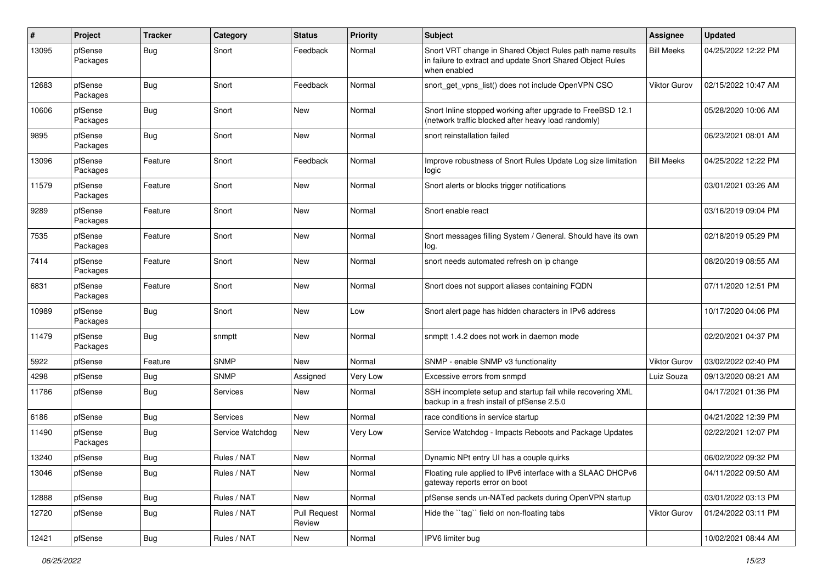| #     | Project             | <b>Tracker</b> | Category         | <b>Status</b>                 | <b>Priority</b> | Subject                                                                                                                                 | Assignee            | <b>Updated</b>      |
|-------|---------------------|----------------|------------------|-------------------------------|-----------------|-----------------------------------------------------------------------------------------------------------------------------------------|---------------------|---------------------|
| 13095 | pfSense<br>Packages | Bug            | Snort            | Feedback                      | Normal          | Snort VRT change in Shared Object Rules path name results<br>in failure to extract and update Snort Shared Object Rules<br>when enabled | <b>Bill Meeks</b>   | 04/25/2022 12:22 PM |
| 12683 | pfSense<br>Packages | Bug            | Snort            | Feedback                      | Normal          | snort_get_vpns_list() does not include OpenVPN CSO                                                                                      | <b>Viktor Gurov</b> | 02/15/2022 10:47 AM |
| 10606 | pfSense<br>Packages | <b>Bug</b>     | Snort            | <b>New</b>                    | Normal          | Snort Inline stopped working after upgrade to FreeBSD 12.1<br>(network traffic blocked after heavy load randomly)                       |                     | 05/28/2020 10:06 AM |
| 9895  | pfSense<br>Packages | Bug            | Snort            | <b>New</b>                    | Normal          | snort reinstallation failed                                                                                                             |                     | 06/23/2021 08:01 AM |
| 13096 | pfSense<br>Packages | Feature        | Snort            | Feedback                      | Normal          | Improve robustness of Snort Rules Update Log size limitation<br>logic                                                                   | <b>Bill Meeks</b>   | 04/25/2022 12:22 PM |
| 11579 | pfSense<br>Packages | Feature        | Snort            | <b>New</b>                    | Normal          | Snort alerts or blocks trigger notifications                                                                                            |                     | 03/01/2021 03:26 AM |
| 9289  | pfSense<br>Packages | Feature        | Snort            | <b>New</b>                    | Normal          | Snort enable react                                                                                                                      |                     | 03/16/2019 09:04 PM |
| 7535  | pfSense<br>Packages | Feature        | Snort            | <b>New</b>                    | Normal          | Snort messages filling System / General. Should have its own<br>log.                                                                    |                     | 02/18/2019 05:29 PM |
| 7414  | pfSense<br>Packages | Feature        | Snort            | <b>New</b>                    | Normal          | snort needs automated refresh on ip change                                                                                              |                     | 08/20/2019 08:55 AM |
| 6831  | pfSense<br>Packages | Feature        | Snort            | <b>New</b>                    | Normal          | Snort does not support aliases containing FQDN                                                                                          |                     | 07/11/2020 12:51 PM |
| 10989 | pfSense<br>Packages | <b>Bug</b>     | Snort            | <b>New</b>                    | Low             | Snort alert page has hidden characters in IPv6 address                                                                                  |                     | 10/17/2020 04:06 PM |
| 11479 | pfSense<br>Packages | <b>Bug</b>     | snmptt           | <b>New</b>                    | Normal          | snmptt 1.4.2 does not work in daemon mode                                                                                               |                     | 02/20/2021 04:37 PM |
| 5922  | pfSense             | Feature        | <b>SNMP</b>      | <b>New</b>                    | Normal          | SNMP - enable SNMP v3 functionality                                                                                                     | <b>Viktor Gurov</b> | 03/02/2022 02:40 PM |
| 4298  | pfSense             | Bug            | <b>SNMP</b>      | Assigned                      | Very Low        | Excessive errors from snmpd                                                                                                             | Luiz Souza          | 09/13/2020 08:21 AM |
| 11786 | pfSense             | <b>Bug</b>     | Services         | <b>New</b>                    | Normal          | SSH incomplete setup and startup fail while recovering XML<br>backup in a fresh install of pfSense 2.5.0                                |                     | 04/17/2021 01:36 PM |
| 6186  | pfSense             | Bug            | <b>Services</b>  | <b>New</b>                    | Normal          | race conditions in service startup                                                                                                      |                     | 04/21/2022 12:39 PM |
| 11490 | pfSense<br>Packages | <b>Bug</b>     | Service Watchdog | New                           | Very Low        | Service Watchdog - Impacts Reboots and Package Updates                                                                                  |                     | 02/22/2021 12:07 PM |
| 13240 | pfSense             | Bug            | Rules / NAT      | <b>New</b>                    | Normal          | Dynamic NPt entry UI has a couple quirks                                                                                                |                     | 06/02/2022 09:32 PM |
| 13046 | pfSense             | <b>Bug</b>     | Rules / NAT      | New                           | Normal          | Floating rule applied to IPv6 interface with a SLAAC DHCPv6<br>gateway reports error on boot                                            |                     | 04/11/2022 09:50 AM |
| 12888 | pfSense             | <b>Bug</b>     | Rules / NAT      | New                           | Normal          | pfSense sends un-NATed packets during OpenVPN startup                                                                                   |                     | 03/01/2022 03:13 PM |
| 12720 | pfSense             | Bug            | Rules / NAT      | <b>Pull Request</b><br>Review | Normal          | Hide the "tag" field on non-floating tabs                                                                                               | Viktor Gurov        | 01/24/2022 03:11 PM |
| 12421 | pfSense             | <b>Bug</b>     | Rules / NAT      | New                           | Normal          | IPV6 limiter bug                                                                                                                        |                     | 10/02/2021 08:44 AM |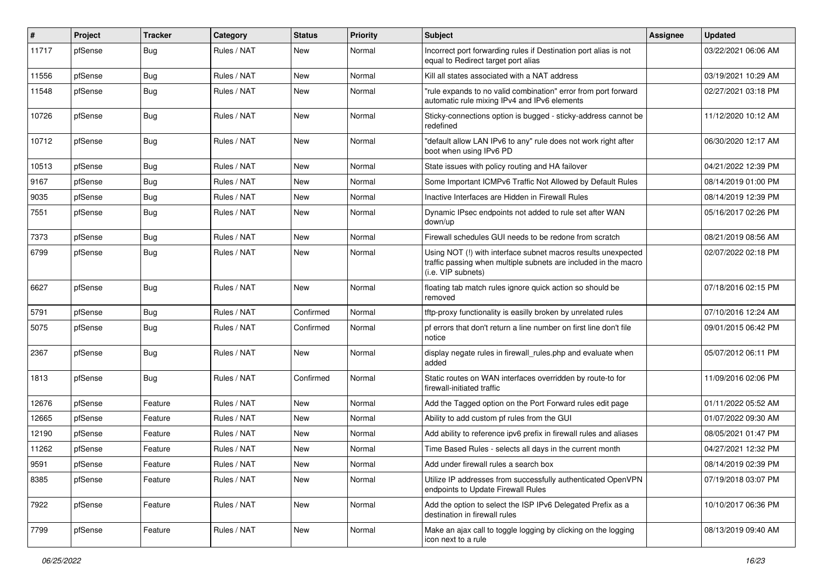| ∦     | Project | <b>Tracker</b> | Category    | <b>Status</b> | <b>Priority</b> | <b>Subject</b>                                                                                                                                         | Assignee | <b>Updated</b>      |
|-------|---------|----------------|-------------|---------------|-----------------|--------------------------------------------------------------------------------------------------------------------------------------------------------|----------|---------------------|
| 11717 | pfSense | Bug            | Rules / NAT | New           | Normal          | Incorrect port forwarding rules if Destination port alias is not<br>equal to Redirect target port alias                                                |          | 03/22/2021 06:06 AM |
| 11556 | pfSense | Bug            | Rules / NAT | <b>New</b>    | Normal          | Kill all states associated with a NAT address                                                                                                          |          | 03/19/2021 10:29 AM |
| 11548 | pfSense | <b>Bug</b>     | Rules / NAT | New           | Normal          | "rule expands to no valid combination" error from port forward<br>automatic rule mixing IPv4 and IPv6 elements                                         |          | 02/27/2021 03:18 PM |
| 10726 | pfSense | Bug            | Rules / NAT | New           | Normal          | Sticky-connections option is bugged - sticky-address cannot be<br>redefined                                                                            |          | 11/12/2020 10:12 AM |
| 10712 | pfSense | Bug            | Rules / NAT | New           | Normal          | "default allow LAN IPv6 to any" rule does not work right after<br>boot when using IPv6 PD                                                              |          | 06/30/2020 12:17 AM |
| 10513 | pfSense | Bug            | Rules / NAT | <b>New</b>    | Normal          | State issues with policy routing and HA failover                                                                                                       |          | 04/21/2022 12:39 PM |
| 9167  | pfSense | <b>Bug</b>     | Rules / NAT | New           | Normal          | Some Important ICMPv6 Traffic Not Allowed by Default Rules                                                                                             |          | 08/14/2019 01:00 PM |
| 9035  | pfSense | <b>Bug</b>     | Rules / NAT | <b>New</b>    | Normal          | Inactive Interfaces are Hidden in Firewall Rules                                                                                                       |          | 08/14/2019 12:39 PM |
| 7551  | pfSense | <b>Bug</b>     | Rules / NAT | New           | Normal          | Dynamic IPsec endpoints not added to rule set after WAN<br>down/up                                                                                     |          | 05/16/2017 02:26 PM |
| 7373  | pfSense | Bug            | Rules / NAT | <b>New</b>    | Normal          | Firewall schedules GUI needs to be redone from scratch                                                                                                 |          | 08/21/2019 08:56 AM |
| 6799  | pfSense | Bug            | Rules / NAT | <b>New</b>    | Normal          | Using NOT (!) with interface subnet macros results unexpected<br>traffic passing when multiple subnets are included in the macro<br>(i.e. VIP subnets) |          | 02/07/2022 02:18 PM |
| 6627  | pfSense | <b>Bug</b>     | Rules / NAT | New           | Normal          | floating tab match rules ignore quick action so should be<br>removed                                                                                   |          | 07/18/2016 02:15 PM |
| 5791  | pfSense | <b>Bug</b>     | Rules / NAT | Confirmed     | Normal          | tftp-proxy functionality is easilly broken by unrelated rules                                                                                          |          | 07/10/2016 12:24 AM |
| 5075  | pfSense | <b>Bug</b>     | Rules / NAT | Confirmed     | Normal          | pf errors that don't return a line number on first line don't file<br>notice                                                                           |          | 09/01/2015 06:42 PM |
| 2367  | pfSense | <b>Bug</b>     | Rules / NAT | New           | Normal          | display negate rules in firewall_rules.php and evaluate when<br>added                                                                                  |          | 05/07/2012 06:11 PM |
| 1813  | pfSense | Bug            | Rules / NAT | Confirmed     | Normal          | Static routes on WAN interfaces overridden by route-to for<br>firewall-initiated traffic                                                               |          | 11/09/2016 02:06 PM |
| 12676 | pfSense | Feature        | Rules / NAT | New           | Normal          | Add the Tagged option on the Port Forward rules edit page                                                                                              |          | 01/11/2022 05:52 AM |
| 12665 | pfSense | Feature        | Rules / NAT | <b>New</b>    | Normal          | Ability to add custom pf rules from the GUI                                                                                                            |          | 01/07/2022 09:30 AM |
| 12190 | pfSense | Feature        | Rules / NAT | New           | Normal          | Add ability to reference ipv6 prefix in firewall rules and aliases                                                                                     |          | 08/05/2021 01:47 PM |
| 11262 | pfSense | Feature        | Rules / NAT | <b>New</b>    | Normal          | Time Based Rules - selects all days in the current month                                                                                               |          | 04/27/2021 12:32 PM |
| 9591  | pfSense | Feature        | Rules / NAT | New           | Normal          | Add under firewall rules a search box                                                                                                                  |          | 08/14/2019 02:39 PM |
| 8385  | pfSense | Feature        | Rules / NAT | New           | Normal          | Utilize IP addresses from successfully authenticated OpenVPN<br>endpoints to Update Firewall Rules                                                     |          | 07/19/2018 03:07 PM |
| 7922  | pfSense | Feature        | Rules / NAT | New           | Normal          | Add the option to select the ISP IPv6 Delegated Prefix as a<br>destination in firewall rules                                                           |          | 10/10/2017 06:36 PM |
| 7799  | pfSense | Feature        | Rules / NAT | New           | Normal          | Make an ajax call to toggle logging by clicking on the logging<br>icon next to a rule                                                                  |          | 08/13/2019 09:40 AM |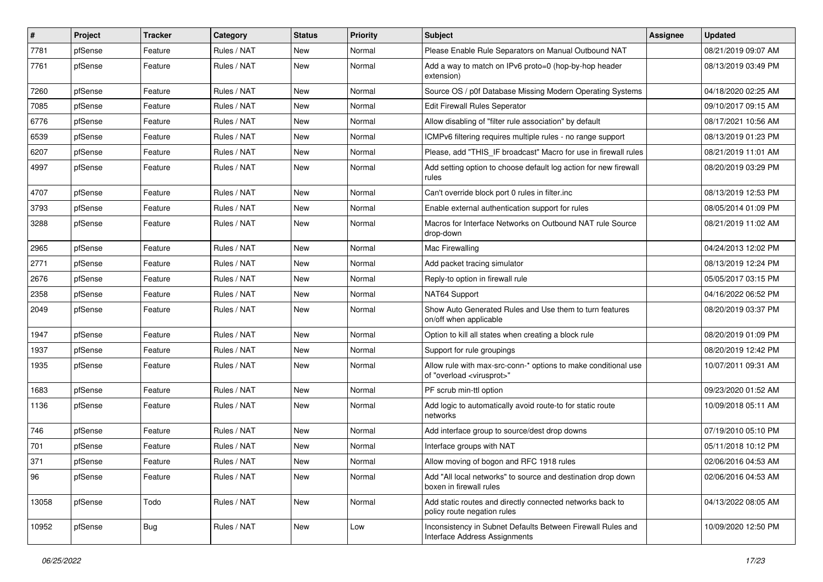| $\pmb{\#}$ | Project | <b>Tracker</b> | Category    | <b>Status</b> | <b>Priority</b> | Subject                                                                                                 | Assignee | <b>Updated</b>      |
|------------|---------|----------------|-------------|---------------|-----------------|---------------------------------------------------------------------------------------------------------|----------|---------------------|
| 7781       | pfSense | Feature        | Rules / NAT | New           | Normal          | Please Enable Rule Separators on Manual Outbound NAT                                                    |          | 08/21/2019 09:07 AM |
| 7761       | pfSense | Feature        | Rules / NAT | New           | Normal          | Add a way to match on IPv6 proto=0 (hop-by-hop header<br>extension)                                     |          | 08/13/2019 03:49 PM |
| 7260       | pfSense | Feature        | Rules / NAT | New           | Normal          | Source OS / p0f Database Missing Modern Operating Systems                                               |          | 04/18/2020 02:25 AM |
| 7085       | pfSense | Feature        | Rules / NAT | New           | Normal          | Edit Firewall Rules Seperator                                                                           |          | 09/10/2017 09:15 AM |
| 6776       | pfSense | Feature        | Rules / NAT | New           | Normal          | Allow disabling of "filter rule association" by default                                                 |          | 08/17/2021 10:56 AM |
| 6539       | pfSense | Feature        | Rules / NAT | New           | Normal          | ICMPv6 filtering requires multiple rules - no range support                                             |          | 08/13/2019 01:23 PM |
| 6207       | pfSense | Feature        | Rules / NAT | New           | Normal          | Please, add "THIS_IF broadcast" Macro for use in firewall rules                                         |          | 08/21/2019 11:01 AM |
| 4997       | pfSense | Feature        | Rules / NAT | New           | Normal          | Add setting option to choose default log action for new firewall<br>rules                               |          | 08/20/2019 03:29 PM |
| 4707       | pfSense | Feature        | Rules / NAT | New           | Normal          | Can't override block port 0 rules in filter.inc                                                         |          | 08/13/2019 12:53 PM |
| 3793       | pfSense | Feature        | Rules / NAT | New           | Normal          | Enable external authentication support for rules                                                        |          | 08/05/2014 01:09 PM |
| 3288       | pfSense | Feature        | Rules / NAT | New           | Normal          | Macros for Interface Networks on Outbound NAT rule Source<br>drop-down                                  |          | 08/21/2019 11:02 AM |
| 2965       | pfSense | Feature        | Rules / NAT | New           | Normal          | Mac Firewalling                                                                                         |          | 04/24/2013 12:02 PM |
| 2771       | pfSense | Feature        | Rules / NAT | New           | Normal          | Add packet tracing simulator                                                                            |          | 08/13/2019 12:24 PM |
| 2676       | pfSense | Feature        | Rules / NAT | New           | Normal          | Reply-to option in firewall rule                                                                        |          | 05/05/2017 03:15 PM |
| 2358       | pfSense | Feature        | Rules / NAT | New           | Normal          | NAT64 Support                                                                                           |          | 04/16/2022 06:52 PM |
| 2049       | pfSense | Feature        | Rules / NAT | New           | Normal          | Show Auto Generated Rules and Use them to turn features<br>on/off when applicable                       |          | 08/20/2019 03:37 PM |
| 1947       | pfSense | Feature        | Rules / NAT | New           | Normal          | Option to kill all states when creating a block rule                                                    |          | 08/20/2019 01:09 PM |
| 1937       | pfSense | Feature        | Rules / NAT | New           | Normal          | Support for rule groupings                                                                              |          | 08/20/2019 12:42 PM |
| 1935       | pfSense | Feature        | Rules / NAT | New           | Normal          | Allow rule with max-src-conn-* options to make conditional use<br>of "overload <virusprot>"</virusprot> |          | 10/07/2011 09:31 AM |
| 1683       | pfSense | Feature        | Rules / NAT | New           | Normal          | PF scrub min-ttl option                                                                                 |          | 09/23/2020 01:52 AM |
| 1136       | pfSense | Feature        | Rules / NAT | New           | Normal          | Add logic to automatically avoid route-to for static route<br>networks                                  |          | 10/09/2018 05:11 AM |
| 746        | pfSense | Feature        | Rules / NAT | New           | Normal          | Add interface group to source/dest drop downs                                                           |          | 07/19/2010 05:10 PM |
| 701        | pfSense | Feature        | Rules / NAT | New           | Normal          | Interface groups with NAT                                                                               |          | 05/11/2018 10:12 PM |
| 371        | pfSense | Feature        | Rules / NAT | New           | Normal          | Allow moving of bogon and RFC 1918 rules                                                                |          | 02/06/2016 04:53 AM |
| 96         | pfSense | Feature        | Rules / NAT | New           | Normal          | Add "All local networks" to source and destination drop down<br>boxen in firewall rules                 |          | 02/06/2016 04:53 AM |
| 13058      | pfSense | Todo           | Rules / NAT | <b>New</b>    | Normal          | Add static routes and directly connected networks back to<br>policy route negation rules                |          | 04/13/2022 08:05 AM |
| 10952      | pfSense | <b>Bug</b>     | Rules / NAT | New           | Low             | Inconsistency in Subnet Defaults Between Firewall Rules and<br>Interface Address Assignments            |          | 10/09/2020 12:50 PM |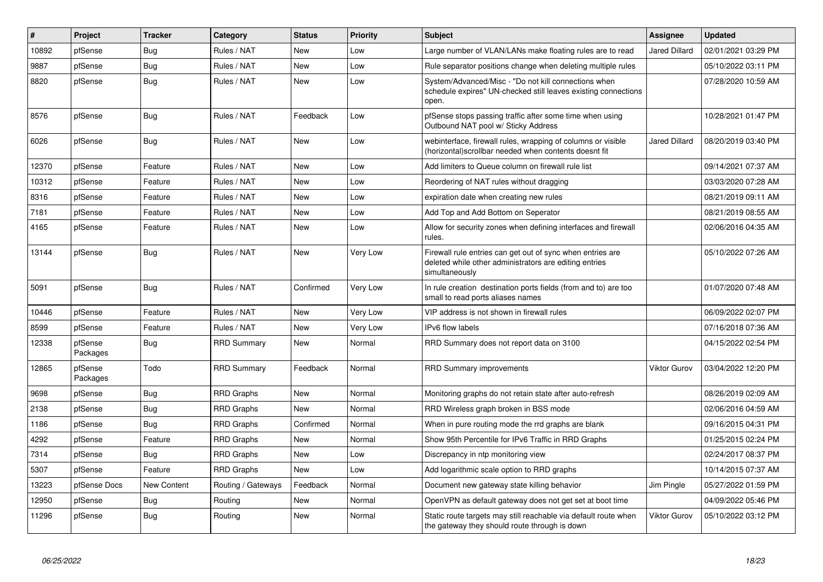| $\pmb{\#}$ | Project             | <b>Tracker</b>     | Category           | <b>Status</b> | <b>Priority</b> | <b>Subject</b>                                                                                                                         | Assignee             | <b>Updated</b>      |
|------------|---------------------|--------------------|--------------------|---------------|-----------------|----------------------------------------------------------------------------------------------------------------------------------------|----------------------|---------------------|
| 10892      | pfSense             | Bug                | Rules / NAT        | New           | Low             | Large number of VLAN/LANs make floating rules are to read                                                                              | <b>Jared Dillard</b> | 02/01/2021 03:29 PM |
| 9887       | pfSense             | <b>Bug</b>         | Rules / NAT        | <b>New</b>    | Low             | Rule separator positions change when deleting multiple rules                                                                           |                      | 05/10/2022 03:11 PM |
| 8820       | pfSense             | Bug                | Rules / NAT        | <b>New</b>    | Low             | System/Advanced/Misc - "Do not kill connections when<br>schedule expires" UN-checked still leaves existing connections<br>open.        |                      | 07/28/2020 10:59 AM |
| 8576       | pfSense             | Bug                | Rules / NAT        | Feedback      | Low             | pfSense stops passing traffic after some time when using<br>Outbound NAT pool w/ Sticky Address                                        |                      | 10/28/2021 01:47 PM |
| 6026       | pfSense             | Bug                | Rules / NAT        | <b>New</b>    | Low             | webinterface, firewall rules, wrapping of columns or visible<br>(horizontal) scrollbar needed when contents doesnt fit                 | Jared Dillard        | 08/20/2019 03:40 PM |
| 12370      | pfSense             | Feature            | Rules / NAT        | <b>New</b>    | Low             | Add limiters to Queue column on firewall rule list                                                                                     |                      | 09/14/2021 07:37 AM |
| 10312      | pfSense             | Feature            | Rules / NAT        | <b>New</b>    | Low             | Reordering of NAT rules without dragging                                                                                               |                      | 03/03/2020 07:28 AM |
| 8316       | pfSense             | Feature            | Rules / NAT        | New           | Low             | expiration date when creating new rules                                                                                                |                      | 08/21/2019 09:11 AM |
| 7181       | pfSense             | Feature            | Rules / NAT        | <b>New</b>    | Low             | Add Top and Add Bottom on Seperator                                                                                                    |                      | 08/21/2019 08:55 AM |
| 4165       | pfSense             | Feature            | Rules / NAT        | <b>New</b>    | Low             | Allow for security zones when defining interfaces and firewall<br>rules.                                                               |                      | 02/06/2016 04:35 AM |
| 13144      | pfSense             | <b>Bug</b>         | Rules / NAT        | <b>New</b>    | Very Low        | Firewall rule entries can get out of sync when entries are<br>deleted while other administrators are editing entries<br>simultaneously |                      | 05/10/2022 07:26 AM |
| 5091       | pfSense             | Bug                | Rules / NAT        | Confirmed     | Very Low        | In rule creation destination ports fields (from and to) are too<br>small to read ports aliases names                                   |                      | 01/07/2020 07:48 AM |
| 10446      | pfSense             | Feature            | Rules / NAT        | <b>New</b>    | Very Low        | VIP address is not shown in firewall rules                                                                                             |                      | 06/09/2022 02:07 PM |
| 8599       | pfSense             | Feature            | Rules / NAT        | <b>New</b>    | Very Low        | IPv6 flow labels                                                                                                                       |                      | 07/16/2018 07:36 AM |
| 12338      | pfSense<br>Packages | <b>Bug</b>         | <b>RRD Summary</b> | <b>New</b>    | Normal          | RRD Summary does not report data on 3100                                                                                               |                      | 04/15/2022 02:54 PM |
| 12865      | pfSense<br>Packages | Todo               | <b>RRD Summary</b> | Feedback      | Normal          | <b>RRD Summary improvements</b>                                                                                                        | <b>Viktor Gurov</b>  | 03/04/2022 12:20 PM |
| 9698       | pfSense             | Bug                | <b>RRD Graphs</b>  | New           | Normal          | Monitoring graphs do not retain state after auto-refresh                                                                               |                      | 08/26/2019 02:09 AM |
| 2138       | pfSense             | <b>Bug</b>         | <b>RRD Graphs</b>  | <b>New</b>    | Normal          | RRD Wireless graph broken in BSS mode                                                                                                  |                      | 02/06/2016 04:59 AM |
| 1186       | pfSense             | Bug                | <b>RRD Graphs</b>  | Confirmed     | Normal          | When in pure routing mode the rrd graphs are blank                                                                                     |                      | 09/16/2015 04:31 PM |
| 4292       | pfSense             | Feature            | RRD Graphs         | New           | Normal          | Show 95th Percentile for IPv6 Traffic in RRD Graphs                                                                                    |                      | 01/25/2015 02:24 PM |
| 7314       | pfSense             | Bug                | <b>RRD Graphs</b>  | New           | Low             | Discrepancy in ntp monitoring view                                                                                                     |                      | 02/24/2017 08:37 PM |
| 5307       | pfSense             | Feature            | <b>RRD Graphs</b>  | <b>New</b>    | Low             | Add logarithmic scale option to RRD graphs                                                                                             |                      | 10/14/2015 07:37 AM |
| 13223      | pfSense Docs        | <b>New Content</b> | Routing / Gateways | Feedback      | Normal          | Document new gateway state killing behavior                                                                                            | Jim Pingle           | 05/27/2022 01:59 PM |
| 12950      | pfSense             | <b>Bug</b>         | Routing            | <b>New</b>    | Normal          | OpenVPN as default gateway does not get set at boot time                                                                               |                      | 04/09/2022 05:46 PM |
| 11296      | pfSense             | Bug                | Routing            | New           | Normal          | Static route targets may still reachable via default route when<br>the gateway they should route through is down                       | Viktor Gurov         | 05/10/2022 03:12 PM |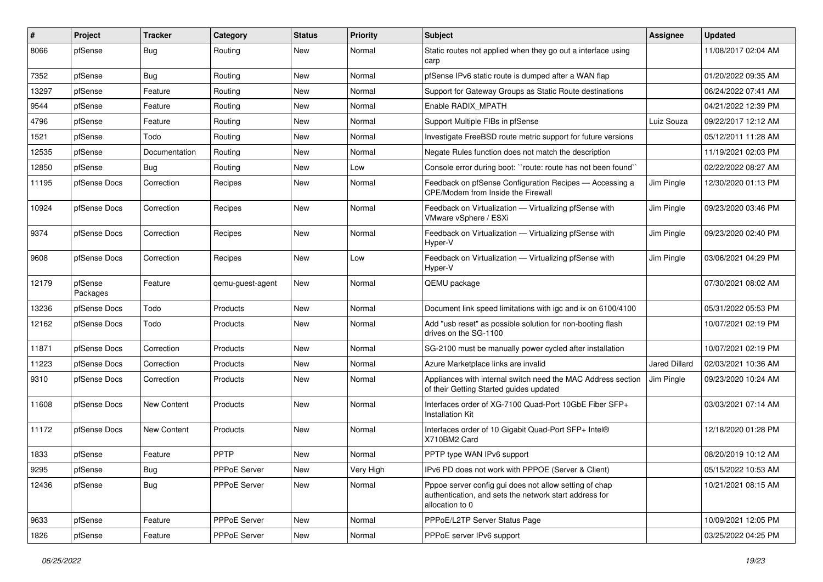| #     | Project             | <b>Tracker</b> | Category         | <b>Status</b> | <b>Priority</b> | Subject                                                                                                                             | Assignee             | <b>Updated</b>      |
|-------|---------------------|----------------|------------------|---------------|-----------------|-------------------------------------------------------------------------------------------------------------------------------------|----------------------|---------------------|
| 8066  | pfSense             | <b>Bug</b>     | Routing          | New           | Normal          | Static routes not applied when they go out a interface using<br>carp                                                                |                      | 11/08/2017 02:04 AM |
| 7352  | pfSense             | Bug            | Routing          | New           | Normal          | pfSense IPv6 static route is dumped after a WAN flap                                                                                |                      | 01/20/2022 09:35 AM |
| 13297 | pfSense             | Feature        | Routing          | New           | Normal          | Support for Gateway Groups as Static Route destinations                                                                             |                      | 06/24/2022 07:41 AM |
| 9544  | pfSense             | Feature        | Routing          | New           | Normal          | Enable RADIX_MPATH                                                                                                                  |                      | 04/21/2022 12:39 PM |
| 4796  | pfSense             | Feature        | Routing          | New           | Normal          | Support Multiple FIBs in pfSense                                                                                                    | Luiz Souza           | 09/22/2017 12:12 AM |
| 1521  | pfSense             | Todo           | Routing          | <b>New</b>    | Normal          | Investigate FreeBSD route metric support for future versions                                                                        |                      | 05/12/2011 11:28 AM |
| 12535 | pfSense             | Documentation  | Routing          | New           | Normal          | Negate Rules function does not match the description                                                                                |                      | 11/19/2021 02:03 PM |
| 12850 | pfSense             | <b>Bug</b>     | Routing          | New           | Low             | Console error during boot: "route: route has not been found"                                                                        |                      | 02/22/2022 08:27 AM |
| 11195 | pfSense Docs        | Correction     | Recipes          | New           | Normal          | Feedback on pfSense Configuration Recipes - Accessing a<br>CPE/Modem from Inside the Firewall                                       | Jim Pingle           | 12/30/2020 01:13 PM |
| 10924 | pfSense Docs        | Correction     | Recipes          | New           | Normal          | Feedback on Virtualization - Virtualizing pfSense with<br>VMware vSphere / ESXi                                                     | Jim Pingle           | 09/23/2020 03:46 PM |
| 9374  | pfSense Docs        | Correction     | Recipes          | New           | Normal          | Feedback on Virtualization - Virtualizing pfSense with<br>Hyper-V                                                                   | Jim Pingle           | 09/23/2020 02:40 PM |
| 9608  | pfSense Docs        | Correction     | Recipes          | <b>New</b>    | Low             | Feedback on Virtualization - Virtualizing pfSense with<br>Hyper-V                                                                   | Jim Pingle           | 03/06/2021 04:29 PM |
| 12179 | pfSense<br>Packages | Feature        | qemu-guest-agent | New           | Normal          | QEMU package                                                                                                                        |                      | 07/30/2021 08:02 AM |
| 13236 | pfSense Docs        | Todo           | Products         | <b>New</b>    | Normal          | Document link speed limitations with igc and ix on 6100/4100                                                                        |                      | 05/31/2022 05:53 PM |
| 12162 | pfSense Docs        | Todo           | Products         | New           | Normal          | Add "usb reset" as possible solution for non-booting flash<br>drives on the SG-1100                                                 |                      | 10/07/2021 02:19 PM |
| 11871 | pfSense Docs        | Correction     | Products         | New           | Normal          | SG-2100 must be manually power cycled after installation                                                                            |                      | 10/07/2021 02:19 PM |
| 11223 | pfSense Docs        | Correction     | Products         | New           | Normal          | Azure Marketplace links are invalid                                                                                                 | <b>Jared Dillard</b> | 02/03/2021 10:36 AM |
| 9310  | pfSense Docs        | Correction     | Products         | New           | Normal          | Appliances with internal switch need the MAC Address section<br>of their Getting Started guides updated                             | Jim Pingle           | 09/23/2020 10:24 AM |
| 11608 | pfSense Docs        | New Content    | Products         | New           | Normal          | Interfaces order of XG-7100 Quad-Port 10GbE Fiber SFP+<br><b>Installation Kit</b>                                                   |                      | 03/03/2021 07:14 AM |
| 11172 | pfSense Docs        | New Content    | Products         | New           | Normal          | Interfaces order of 10 Gigabit Quad-Port SFP+ Intel®<br>X710BM2 Card                                                                |                      | 12/18/2020 01:28 PM |
| 1833  | pfSense             | Feature        | PPTP             | New           | Normal          | PPTP type WAN IPv6 support                                                                                                          |                      | 08/20/2019 10:12 AM |
| 9295  | pfSense             | Bug            | PPPoE Server     | New           | Very High       | IPv6 PD does not work with PPPOE (Server & Client)                                                                                  |                      | 05/15/2022 10:53 AM |
| 12436 | pfSense             | <b>Bug</b>     | PPPoE Server     | New           | Normal          | Pppoe server config gui does not allow setting of chap<br>authentication, and sets the network start address for<br>allocation to 0 |                      | 10/21/2021 08:15 AM |
| 9633  | pfSense             | Feature        | PPPoE Server     | New           | Normal          | PPPoE/L2TP Server Status Page                                                                                                       |                      | 10/09/2021 12:05 PM |
| 1826  | pfSense             | Feature        | PPPoE Server     | New           | Normal          | PPPoE server IPv6 support                                                                                                           |                      | 03/25/2022 04:25 PM |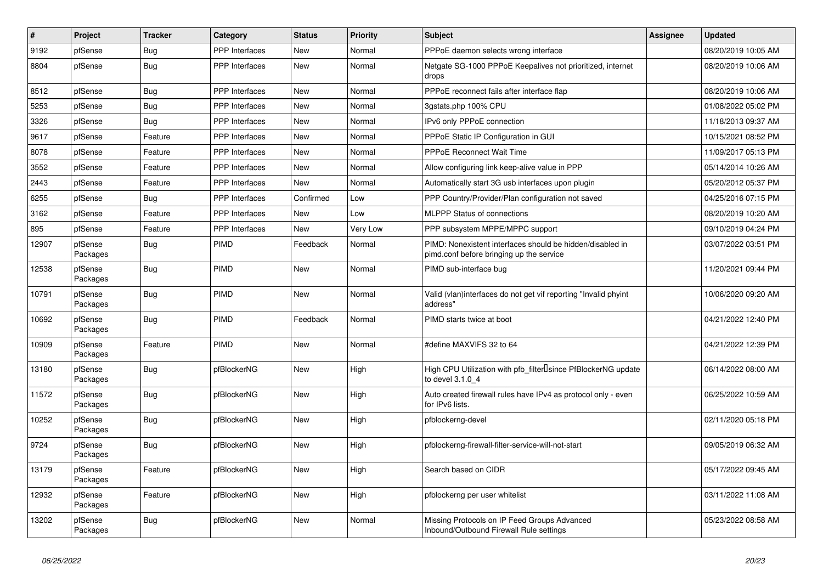| $\vert$ # | Project             | <b>Tracker</b> | Category              | <b>Status</b> | Priority | <b>Subject</b>                                                                                        | <b>Assignee</b> | <b>Updated</b>      |
|-----------|---------------------|----------------|-----------------------|---------------|----------|-------------------------------------------------------------------------------------------------------|-----------------|---------------------|
| 9192      | pfSense             | Bug            | <b>PPP</b> Interfaces | <b>New</b>    | Normal   | PPPoE daemon selects wrong interface                                                                  |                 | 08/20/2019 10:05 AM |
| 8804      | pfSense             | Bug            | PPP Interfaces        | <b>New</b>    | Normal   | Netgate SG-1000 PPPoE Keepalives not prioritized, internet<br>drops                                   |                 | 08/20/2019 10:06 AM |
| 8512      | pfSense             | <b>Bug</b>     | <b>PPP</b> Interfaces | <b>New</b>    | Normal   | PPPoE reconnect fails after interface flap                                                            |                 | 08/20/2019 10:06 AM |
| 5253      | pfSense             | <b>Bug</b>     | PPP Interfaces        | <b>New</b>    | Normal   | 3qstats.php 100% CPU                                                                                  |                 | 01/08/2022 05:02 PM |
| 3326      | pfSense             | <b>Bug</b>     | PPP Interfaces        | <b>New</b>    | Normal   | IPv6 only PPPoE connection                                                                            |                 | 11/18/2013 09:37 AM |
| 9617      | pfSense             | Feature        | <b>PPP</b> Interfaces | <b>New</b>    | Normal   | PPPoE Static IP Configuration in GUI                                                                  |                 | 10/15/2021 08:52 PM |
| 8078      | pfSense             | Feature        | PPP Interfaces        | <b>New</b>    | Normal   | PPPoE Reconnect Wait Time                                                                             |                 | 11/09/2017 05:13 PM |
| 3552      | pfSense             | Feature        | <b>PPP</b> Interfaces | <b>New</b>    | Normal   | Allow configuring link keep-alive value in PPP                                                        |                 | 05/14/2014 10:26 AM |
| 2443      | pfSense             | Feature        | <b>PPP</b> Interfaces | <b>New</b>    | Normal   | Automatically start 3G usb interfaces upon plugin                                                     |                 | 05/20/2012 05:37 PM |
| 6255      | pfSense             | Bug            | <b>PPP</b> Interfaces | Confirmed     | Low      | PPP Country/Provider/Plan configuration not saved                                                     |                 | 04/25/2016 07:15 PM |
| 3162      | pfSense             | Feature        | <b>PPP</b> Interfaces | <b>New</b>    | Low      | <b>MLPPP Status of connections</b>                                                                    |                 | 08/20/2019 10:20 AM |
| 895       | pfSense             | Feature        | PPP Interfaces        | <b>New</b>    | Very Low | PPP subsystem MPPE/MPPC support                                                                       |                 | 09/10/2019 04:24 PM |
| 12907     | pfSense<br>Packages | <b>Bug</b>     | <b>PIMD</b>           | Feedback      | Normal   | PIMD: Nonexistent interfaces should be hidden/disabled in<br>pimd.conf before bringing up the service |                 | 03/07/2022 03:51 PM |
| 12538     | pfSense<br>Packages | <b>Bug</b>     | PIMD                  | <b>New</b>    | Normal   | PIMD sub-interface bug                                                                                |                 | 11/20/2021 09:44 PM |
| 10791     | pfSense<br>Packages | <b>Bug</b>     | <b>PIMD</b>           | <b>New</b>    | Normal   | Valid (vlan)interfaces do not get vif reporting "Invalid phyint<br>address"                           |                 | 10/06/2020 09:20 AM |
| 10692     | pfSense<br>Packages | <b>Bug</b>     | PIMD                  | Feedback      | Normal   | PIMD starts twice at boot                                                                             |                 | 04/21/2022 12:40 PM |
| 10909     | pfSense<br>Packages | Feature        | <b>PIMD</b>           | <b>New</b>    | Normal   | #define MAXVIFS 32 to 64                                                                              |                 | 04/21/2022 12:39 PM |
| 13180     | pfSense<br>Packages | Bug            | pfBlockerNG           | <b>New</b>    | High     | High CPU Utilization with pfb filter Isince PfBlockerNG update<br>to devel 3.1.0 4                    |                 | 06/14/2022 08:00 AM |
| 11572     | pfSense<br>Packages | Bug            | pfBlockerNG           | <b>New</b>    | High     | Auto created firewall rules have IPv4 as protocol only - even<br>for IPv6 lists.                      |                 | 06/25/2022 10:59 AM |
| 10252     | pfSense<br>Packages | Bug            | pfBlockerNG           | <b>New</b>    | High     | pfblockerng-devel                                                                                     |                 | 02/11/2020 05:18 PM |
| 9724      | pfSense<br>Packages | <b>Bug</b>     | pfBlockerNG           | <b>New</b>    | High     | pfblockerng-firewall-filter-service-will-not-start                                                    |                 | 09/05/2019 06:32 AM |
| 13179     | pfSense<br>Packages | Feature        | pfBlockerNG           | <b>New</b>    | High     | Search based on CIDR                                                                                  |                 | 05/17/2022 09:45 AM |
| 12932     | pfSense<br>Packages | Feature        | pfBlockerNG           | <b>New</b>    | High     | pfblockerng per user whitelist                                                                        |                 | 03/11/2022 11:08 AM |
| 13202     | pfSense<br>Packages | Bug            | pfBlockerNG           | <b>New</b>    | Normal   | Missing Protocols on IP Feed Groups Advanced<br>Inbound/Outbound Firewall Rule settings               |                 | 05/23/2022 08:58 AM |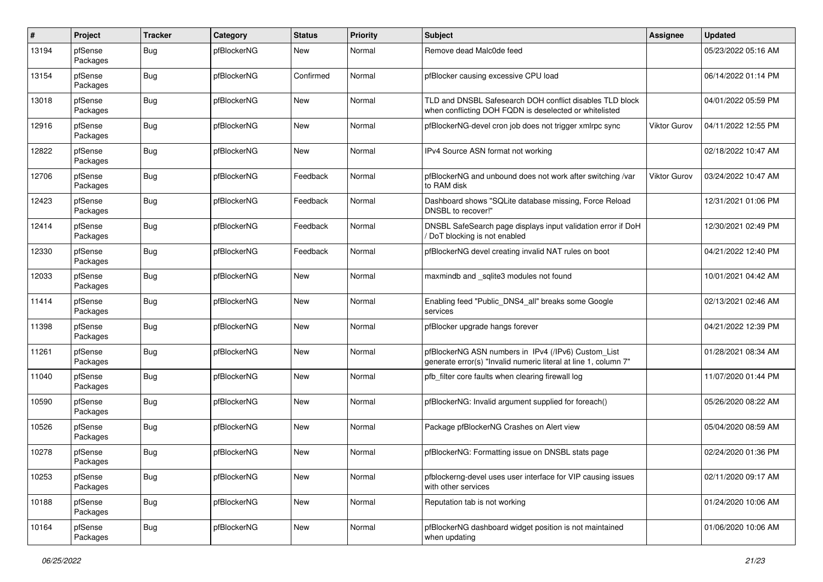| #     | Project             | <b>Tracker</b> | Category    | <b>Status</b> | <b>Priority</b> | <b>Subject</b>                                                                                                         | <b>Assignee</b>     | <b>Updated</b>      |
|-------|---------------------|----------------|-------------|---------------|-----------------|------------------------------------------------------------------------------------------------------------------------|---------------------|---------------------|
| 13194 | pfSense<br>Packages | <b>Bug</b>     | pfBlockerNG | New           | Normal          | Remove dead Malc0de feed                                                                                               |                     | 05/23/2022 05:16 AM |
| 13154 | pfSense<br>Packages | Bug            | pfBlockerNG | Confirmed     | Normal          | pfBlocker causing excessive CPU load                                                                                   |                     | 06/14/2022 01:14 PM |
| 13018 | pfSense<br>Packages | Bug            | pfBlockerNG | <b>New</b>    | Normal          | TLD and DNSBL Safesearch DOH conflict disables TLD block<br>when conflicting DOH FQDN is deselected or whitelisted     |                     | 04/01/2022 05:59 PM |
| 12916 | pfSense<br>Packages | Bug            | pfBlockerNG | <b>New</b>    | Normal          | pfBlockerNG-devel cron job does not trigger xmlrpc sync                                                                | <b>Viktor Gurov</b> | 04/11/2022 12:55 PM |
| 12822 | pfSense<br>Packages | Bug            | pfBlockerNG | <b>New</b>    | Normal          | IPv4 Source ASN format not working                                                                                     |                     | 02/18/2022 10:47 AM |
| 12706 | pfSense<br>Packages | Bug            | pfBlockerNG | Feedback      | Normal          | pfBlockerNG and unbound does not work after switching /var<br>to RAM disk                                              | <b>Viktor Gurov</b> | 03/24/2022 10:47 AM |
| 12423 | pfSense<br>Packages | <b>Bug</b>     | pfBlockerNG | Feedback      | Normal          | Dashboard shows "SQLite database missing, Force Reload<br>DNSBL to recover!"                                           |                     | 12/31/2021 01:06 PM |
| 12414 | pfSense<br>Packages | Bug            | pfBlockerNG | Feedback      | Normal          | DNSBL SafeSearch page displays input validation error if DoH<br>DoT blocking is not enabled                            |                     | 12/30/2021 02:49 PM |
| 12330 | pfSense<br>Packages | Bug            | pfBlockerNG | Feedback      | Normal          | pfBlockerNG devel creating invalid NAT rules on boot                                                                   |                     | 04/21/2022 12:40 PM |
| 12033 | pfSense<br>Packages | Bug            | pfBlockerNG | <b>New</b>    | Normal          | maxmindb and _sqlite3 modules not found                                                                                |                     | 10/01/2021 04:42 AM |
| 11414 | pfSense<br>Packages | Bug            | pfBlockerNG | <b>New</b>    | Normal          | Enabling feed "Public DNS4 all" breaks some Google<br>services                                                         |                     | 02/13/2021 02:46 AM |
| 11398 | pfSense<br>Packages | Bug            | pfBlockerNG | <b>New</b>    | Normal          | pfBlocker upgrade hangs forever                                                                                        |                     | 04/21/2022 12:39 PM |
| 11261 | pfSense<br>Packages | Bug            | pfBlockerNG | <b>New</b>    | Normal          | pfBlockerNG ASN numbers in IPv4 (/IPv6) Custom_List<br>generate error(s) "Invalid numeric literal at line 1, column 7" |                     | 01/28/2021 08:34 AM |
| 11040 | pfSense<br>Packages | <b>Bug</b>     | pfBlockerNG | <b>New</b>    | Normal          | pfb_filter core faults when clearing firewall log                                                                      |                     | 11/07/2020 01:44 PM |
| 10590 | pfSense<br>Packages | <b>Bug</b>     | pfBlockerNG | <b>New</b>    | Normal          | pfBlockerNG: Invalid argument supplied for foreach()                                                                   |                     | 05/26/2020 08:22 AM |
| 10526 | pfSense<br>Packages | <b>Bug</b>     | pfBlockerNG | <b>New</b>    | Normal          | Package pfBlockerNG Crashes on Alert view                                                                              |                     | 05/04/2020 08:59 AM |
| 10278 | pfSense<br>Packages | <b>Bug</b>     | pfBlockerNG | <b>New</b>    | Normal          | pfBlockerNG: Formatting issue on DNSBL stats page                                                                      |                     | 02/24/2020 01:36 PM |
| 10253 | pfSense<br>Packages | <b>Bug</b>     | pfBlockerNG | <b>New</b>    | Normal          | pfblockerng-devel uses user interface for VIP causing issues<br>with other services                                    |                     | 02/11/2020 09:17 AM |
| 10188 | pfSense<br>Packages | <b>Bug</b>     | pfBlockerNG | New           | Normal          | Reputation tab is not working                                                                                          |                     | 01/24/2020 10:06 AM |
| 10164 | pfSense<br>Packages | <b>Bug</b>     | pfBlockerNG | <b>New</b>    | Normal          | pfBlockerNG dashboard widget position is not maintained<br>when updating                                               |                     | 01/06/2020 10:06 AM |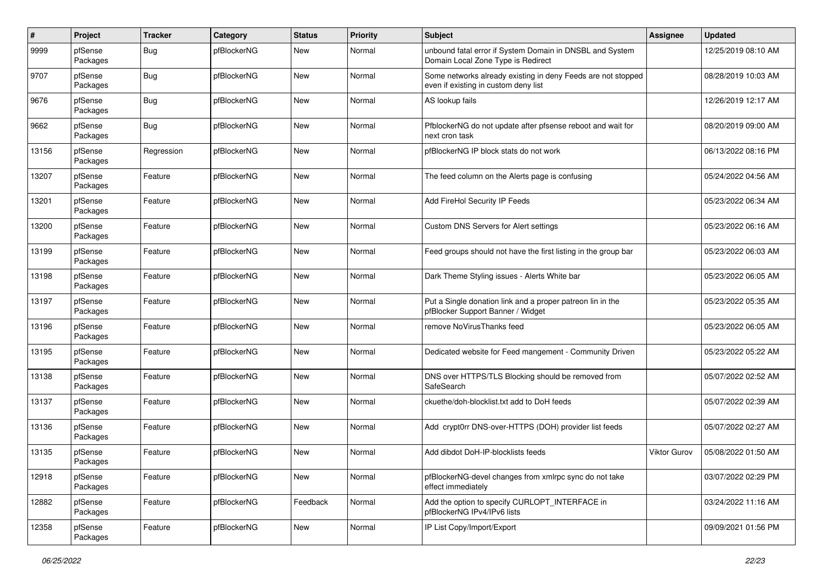| $\#$  | Project             | <b>Tracker</b> | Category    | <b>Status</b> | <b>Priority</b> | Subject                                                                                              | Assignee     | <b>Updated</b>      |
|-------|---------------------|----------------|-------------|---------------|-----------------|------------------------------------------------------------------------------------------------------|--------------|---------------------|
| 9999  | pfSense<br>Packages | <b>Bug</b>     | pfBlockerNG | <b>New</b>    | Normal          | unbound fatal error if System Domain in DNSBL and System<br>Domain Local Zone Type is Redirect       |              | 12/25/2019 08:10 AM |
| 9707  | pfSense<br>Packages | Bug            | pfBlockerNG | <b>New</b>    | Normal          | Some networks already existing in deny Feeds are not stopped<br>even if existing in custom deny list |              | 08/28/2019 10:03 AM |
| 9676  | pfSense<br>Packages | Bug            | pfBlockerNG | <b>New</b>    | Normal          | AS lookup fails                                                                                      |              | 12/26/2019 12:17 AM |
| 9662  | pfSense<br>Packages | <b>Bug</b>     | pfBlockerNG | New           | Normal          | PfblockerNG do not update after pfsense reboot and wait for<br>next cron task                        |              | 08/20/2019 09:00 AM |
| 13156 | pfSense<br>Packages | Regression     | pfBlockerNG | <b>New</b>    | Normal          | pfBlockerNG IP block stats do not work                                                               |              | 06/13/2022 08:16 PM |
| 13207 | pfSense<br>Packages | Feature        | pfBlockerNG | <b>New</b>    | Normal          | The feed column on the Alerts page is confusing                                                      |              | 05/24/2022 04:56 AM |
| 13201 | pfSense<br>Packages | Feature        | pfBlockerNG | <b>New</b>    | Normal          | Add FireHol Security IP Feeds                                                                        |              | 05/23/2022 06:34 AM |
| 13200 | pfSense<br>Packages | Feature        | pfBlockerNG | New           | Normal          | Custom DNS Servers for Alert settings                                                                |              | 05/23/2022 06:16 AM |
| 13199 | pfSense<br>Packages | Feature        | pfBlockerNG | <b>New</b>    | Normal          | Feed groups should not have the first listing in the group bar                                       |              | 05/23/2022 06:03 AM |
| 13198 | pfSense<br>Packages | Feature        | pfBlockerNG | <b>New</b>    | Normal          | Dark Theme Styling issues - Alerts White bar                                                         |              | 05/23/2022 06:05 AM |
| 13197 | pfSense<br>Packages | Feature        | pfBlockerNG | <b>New</b>    | Normal          | Put a Single donation link and a proper patreon lin in the<br>pfBlocker Support Banner / Widget      |              | 05/23/2022 05:35 AM |
| 13196 | pfSense<br>Packages | Feature        | pfBlockerNG | <b>New</b>    | Normal          | remove NoVirusThanks feed                                                                            |              | 05/23/2022 06:05 AM |
| 13195 | pfSense<br>Packages | Feature        | pfBlockerNG | <b>New</b>    | Normal          | Dedicated website for Feed mangement - Community Driven                                              |              | 05/23/2022 05:22 AM |
| 13138 | pfSense<br>Packages | Feature        | pfBlockerNG | <b>New</b>    | Normal          | DNS over HTTPS/TLS Blocking should be removed from<br>SafeSearch                                     |              | 05/07/2022 02:52 AM |
| 13137 | pfSense<br>Packages | Feature        | pfBlockerNG | New           | Normal          | ckuethe/doh-blocklist.txt add to DoH feeds                                                           |              | 05/07/2022 02:39 AM |
| 13136 | pfSense<br>Packages | Feature        | pfBlockerNG | <b>New</b>    | Normal          | Add crypt0rr DNS-over-HTTPS (DOH) provider list feeds                                                |              | 05/07/2022 02:27 AM |
| 13135 | pfSense<br>Packages | Feature        | pfBlockerNG | <b>New</b>    | Normal          | Add dibdot DoH-IP-blocklists feeds                                                                   | Viktor Gurov | 05/08/2022 01:50 AM |
| 12918 | pfSense<br>Packages | Feature        | pfBlockerNG | <b>New</b>    | Normal          | pfBlockerNG-devel changes from xmlrpc sync do not take<br>effect immediately                         |              | 03/07/2022 02:29 PM |
| 12882 | pfSense<br>Packages | Feature        | pfBlockerNG | Feedback      | Normal          | Add the option to specify CURLOPT_INTERFACE in<br>pfBlockerNG IPv4/IPv6 lists                        |              | 03/24/2022 11:16 AM |
| 12358 | pfSense<br>Packages | Feature        | pfBlockerNG | New           | Normal          | IP List Copy/Import/Export                                                                           |              | 09/09/2021 01:56 PM |